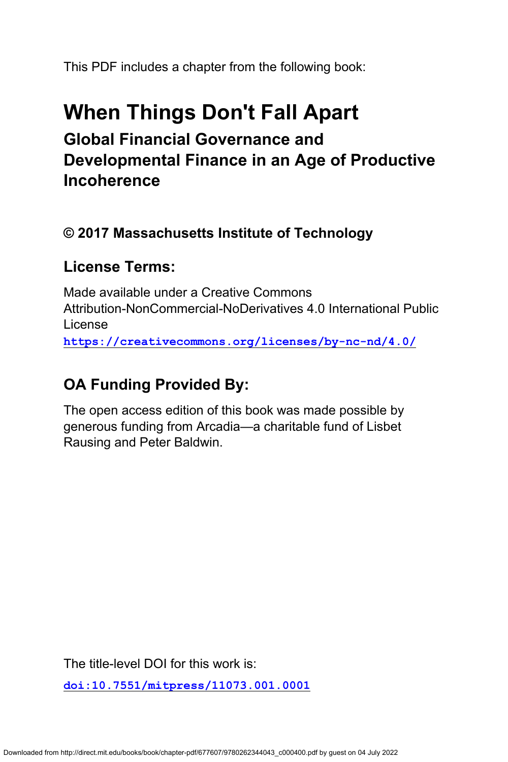This PDF includes a chapter from the following book:

# **When Things Don't Fall Apart Global Financial Governance and Developmental Finance in an Age of Productive Incoherence**

## **© 2017 Massachusetts Institute of Technology**

## **License Terms:**

Made available under a Creative Commons Attribution-NonCommercial-NoDerivatives 4.0 International Public License **<https://creativecommons.org/licenses/by-nc-nd/4.0/>**

## **OA Funding Provided By:**

The open access edition of this book was made possible by generous funding from Arcadia—a charitable fund of Lisbet Rausing and Peter Baldwin.

The title-level DOI for this work is:

**[doi:10.7551/mitpress/11073.001.0001](https://doi.org/10.7551/mitpress/11073.001.0001)**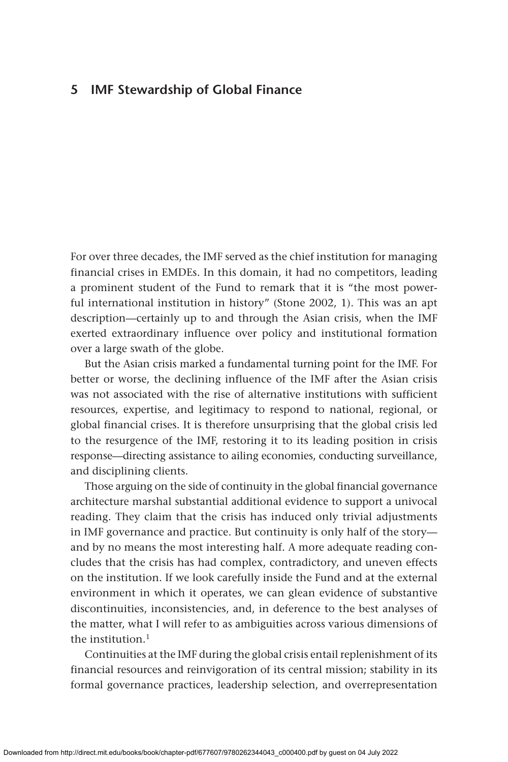### **5 IMF Stewardship of Global Finance**

For over three decades, the IMF served as the chief institution for managing financial crises in EMDEs. In this domain, it had no competitors, leading a prominent student of the Fund to remark that it is "the most powerful international institution in history" (Stone 2002, 1). This was an apt description—certainly up to and through the Asian crisis, when the IMF exerted extraordinary influence over policy and institutional formation over a large swath of the globe.

But the Asian crisis marked a fundamental turning point for the IMF. For better or worse, the declining influence of the IMF after the Asian crisis was not associated with the rise of alternative institutions with sufficient resources, expertise, and legitimacy to respond to national, regional, or global financial crises. It is therefore unsurprising that the global crisis led to the resurgence of the IMF, restoring it to its leading position in crisis response—directing assistance to ailing economies, conducting surveillance, and disciplining clients.

Those arguing on the side of continuity in the global financial governance architecture marshal substantial additional evidence to support a univocal reading. They claim that the crisis has induced only trivial adjustments in IMF governance and practice. But continuity is only half of the story and by no means the most interesting half. A more adequate reading concludes that the crisis has had complex, contradictory, and uneven effects on the institution. If we look carefully inside the Fund and at the external environment in which it operates, we can glean evidence of substantive discontinuities, inconsistencies, and, in deference to the best analyses of the matter, what I will refer to as ambiguities across various dimensions of the institution. $1$ 

Continuities at the IMF during the global crisis entail replenishment of its financial resources and reinvigoration of its central mission; stability in its formal governance practices, leadership selection, and overrepresentation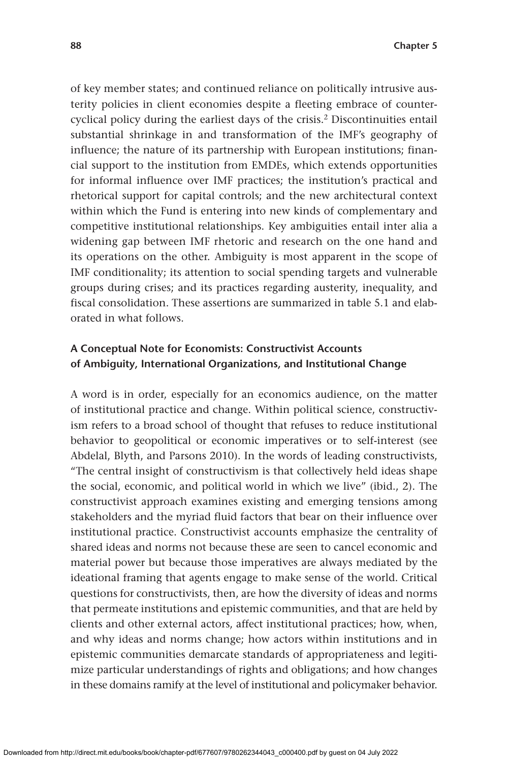of key member states; and continued reliance on politically intrusive austerity policies in client economies despite a fleeting embrace of countercyclical policy during the earliest days of the crisis.2 Discontinuities entail substantial shrinkage in and transformation of the IMF's geography of influence; the nature of its partnership with European institutions; financial support to the institution from EMDEs, which extends opportunities for informal influence over IMF practices; the institution's practical and rhetorical support for capital controls; and the new architectural context within which the Fund is entering into new kinds of complementary and competitive institutional relationships. Key ambiguities entail inter alia a widening gap between IMF rhetoric and research on the one hand and its operations on the other. Ambiguity is most apparent in the scope of IMF conditionality; its attention to social spending targets and vulnerable groups during crises; and its practices regarding austerity, inequality, and fiscal consolidation. These assertions are summarized in table 5.1 and elaborated in what follows.

### **A Conceptual Note for Economists: Constructivist Accounts of Ambiguity, International Organizations, and Institutional Change**

A word is in order, especially for an economics audience, on the matter of institutional practice and change. Within political science, constructivism refers to a broad school of thought that refuses to reduce institutional behavior to geopolitical or economic imperatives or to self-interest (see Abdelal, Blyth, and Parsons 2010). In the words of leading constructivists, "The central insight of constructivism is that collectively held ideas shape the social, economic, and political world in which we live" (ibid., 2). The constructivist approach examines existing and emerging tensions among stakeholders and the myriad fluid factors that bear on their influence over institutional practice. Constructivist accounts emphasize the centrality of shared ideas and norms not because these are seen to cancel economic and material power but because those imperatives are always mediated by the ideational framing that agents engage to make sense of the world. Critical questions for constructivists, then, are how the diversity of ideas and norms that permeate institutions and epistemic communities, and that are held by clients and other external actors, affect institutional practices; how, when, and why ideas and norms change; how actors within institutions and in epistemic communities demarcate standards of appropriateness and legitimize particular understandings of rights and obligations; and how changes in these domains ramify at the level of institutional and policymaker behavior.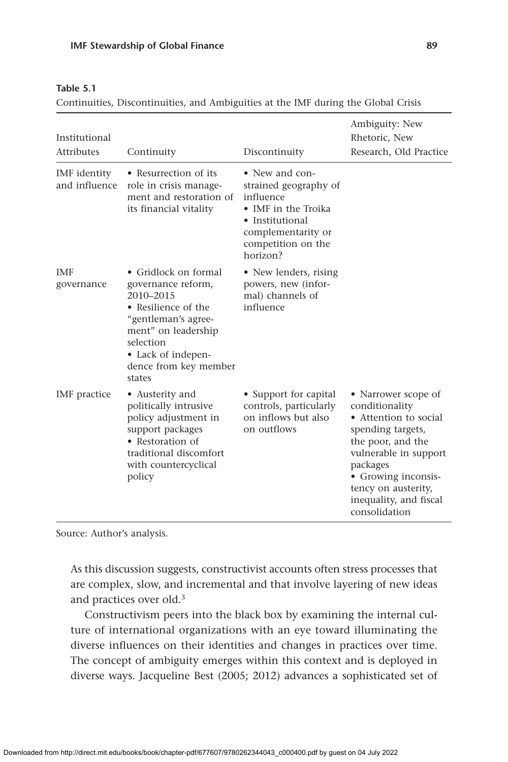| an | ×. |  |  |
|----|----|--|--|
|----|----|--|--|

Continuities, Discontinuities, and Ambiguities at the IMF during the Global Crisis

| Institutional<br><b>Attributes</b>   | Continuity                                                                                                                                                                                         | Discontinuity                                                                                                                                          | Ambiguity: New<br>Rhetoric, New<br>Research, Old Practice                                                                                                                                                                              |
|--------------------------------------|----------------------------------------------------------------------------------------------------------------------------------------------------------------------------------------------------|--------------------------------------------------------------------------------------------------------------------------------------------------------|----------------------------------------------------------------------------------------------------------------------------------------------------------------------------------------------------------------------------------------|
| <b>IMF</b> identity<br>and influence | • Resurrection of its<br>role in crisis manage-<br>ment and restoration of<br>its financial vitality                                                                                               | • New and con-<br>strained geography of<br>influence<br>• IMF in the Troika<br>• Institutional<br>complementarity or<br>competition on the<br>horizon? |                                                                                                                                                                                                                                        |
| <b>IMF</b><br>governance             | • Gridlock on formal<br>governance reform,<br>2010-2015<br>• Resilience of the<br>"gentleman's agree-<br>ment" on leadership<br>selection<br>• Lack of indepen-<br>dence from key member<br>states | • New lenders, rising<br>powers, new (infor-<br>mal) channels of<br>influence                                                                          |                                                                                                                                                                                                                                        |
| IMF practice                         | • Austerity and<br>politically intrusive<br>policy adjustment in<br>support packages<br>• Restoration of<br>traditional discomfort<br>with countercyclical<br>policy                               | • Support for capital<br>controls, particularly<br>on inflows but also<br>on outflows                                                                  | • Narrower scope of<br>conditionality<br>• Attention to social<br>spending targets,<br>the poor, and the<br>vulnerable in support<br>packages<br>• Growing inconsis-<br>tency on austerity,<br>inequality, and fiscal<br>consolidation |

Source: Author's analysis.

As this discussion suggests, constructivist accounts often stress processes that are complex, slow, and incremental and that involve layering of new ideas and practices over old.3

Constructivism peers into the black box by examining the internal culture of international organizations with an eye toward illuminating the diverse influences on their identities and changes in practices over time. The concept of ambiguity emerges within this context and is deployed in diverse ways. Jacqueline Best (2005; 2012) advances a sophisticated set of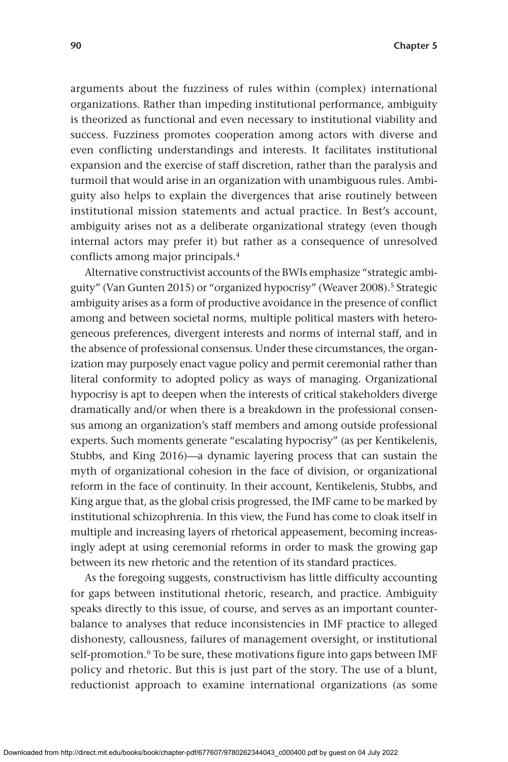arguments about the fuzziness of rules within (complex) international organizations. Rather than impeding institutional performance, ambiguity is theorized as functional and even necessary to institutional viability and success. Fuzziness promotes cooperation among actors with diverse and even conflicting understandings and interests. It facilitates institutional expansion and the exercise of staff discretion, rather than the paralysis and turmoil that would arise in an organization with unambiguous rules. Ambiguity also helps to explain the divergences that arise routinely between institutional mission statements and actual practice. In Best's account, ambiguity arises not as a deliberate organizational strategy (even though internal actors may prefer it) but rather as a consequence of unresolved conflicts among major principals.4

Alternative constructivist accounts of the BWIs emphasize "strategic ambiguity" (Van Gunten 2015) or "organized hypocrisy" (Weaver 2008).<sup>5</sup> Strategic ambiguity arises as a form of productive avoidance in the presence of conflict among and between societal norms, multiple political masters with heterogeneous preferences, divergent interests and norms of internal staff, and in the absence of professional consensus. Under these circumstances, the organization may purposely enact vague policy and permit ceremonial rather than literal conformity to adopted policy as ways of managing. Organizational hypocrisy is apt to deepen when the interests of critical stakeholders diverge dramatically and/or when there is a breakdown in the professional consensus among an organization's staff members and among outside professional experts. Such moments generate "escalating hypocrisy" (as per Kentikelenis, Stubbs, and King 2016)—a dynamic layering process that can sustain the myth of organizational cohesion in the face of division, or organizational reform in the face of continuity. In their account, Kentikelenis, Stubbs, and King argue that, as the global crisis progressed, the IMF came to be marked by institutional schizophrenia. In this view, the Fund has come to cloak itself in multiple and increasing layers of rhetorical appeasement, becoming increasingly adept at using ceremonial reforms in order to mask the growing gap between its new rhetoric and the retention of its standard practices.

As the foregoing suggests, constructivism has little difficulty accounting for gaps between institutional rhetoric, research, and practice. Ambiguity speaks directly to this issue, of course, and serves as an important counterbalance to analyses that reduce inconsistencies in IMF practice to alleged dishonesty, callousness, failures of management oversight, or institutional self-promotion.<sup>6</sup> To be sure, these motivations figure into gaps between IMF policy and rhetoric. But this is just part of the story. The use of a blunt, reductionist approach to examine international organizations (as some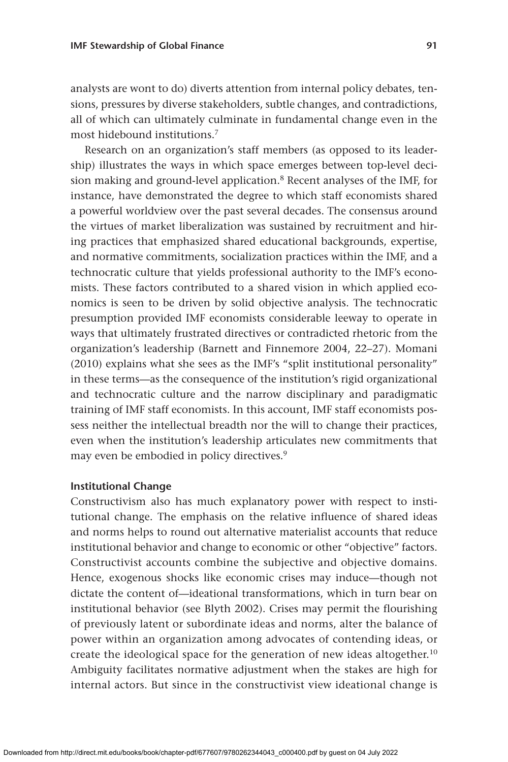analysts are wont to do) diverts attention from internal policy debates, tensions, pressures by diverse stakeholders, subtle changes, and contradictions, all of which can ultimately culminate in fundamental change even in the most hidebound institutions.7

Research on an organization's staff members (as opposed to its leadership) illustrates the ways in which space emerges between top-level decision making and ground-level application.8 Recent analyses of the IMF, for instance, have demonstrated the degree to which staff economists shared a powerful worldview over the past several decades. The consensus around the virtues of market liberalization was sustained by recruitment and hiring practices that emphasized shared educational backgrounds, expertise, and normative commitments, socialization practices within the IMF, and a technocratic culture that yields professional authority to the IMF's economists. These factors contributed to a shared vision in which applied economics is seen to be driven by solid objective analysis. The technocratic presumption provided IMF economists considerable leeway to operate in ways that ultimately frustrated directives or contradicted rhetoric from the organization's leadership (Barnett and Finnemore 2004, 22–27). Momani (2010) explains what she sees as the IMF's "split institutional personality" in these terms—as the consequence of the institution's rigid organizational and technocratic culture and the narrow disciplinary and paradigmatic training of IMF staff economists. In this account, IMF staff economists possess neither the intellectual breadth nor the will to change their practices, even when the institution's leadership articulates new commitments that may even be embodied in policy directives.<sup>9</sup>

#### **Institutional Change**

Constructivism also has much explanatory power with respect to institutional change. The emphasis on the relative influence of shared ideas and norms helps to round out alternative materialist accounts that reduce institutional behavior and change to economic or other "objective" factors. Constructivist accounts combine the subjective and objective domains. Hence, exogenous shocks like economic crises may induce—though not dictate the content of—ideational transformations, which in turn bear on institutional behavior (see Blyth 2002). Crises may permit the flourishing of previously latent or subordinate ideas and norms, alter the balance of power within an organization among advocates of contending ideas, or create the ideological space for the generation of new ideas altogether.<sup>10</sup> Ambiguity facilitates normative adjustment when the stakes are high for internal actors. But since in the constructivist view ideational change is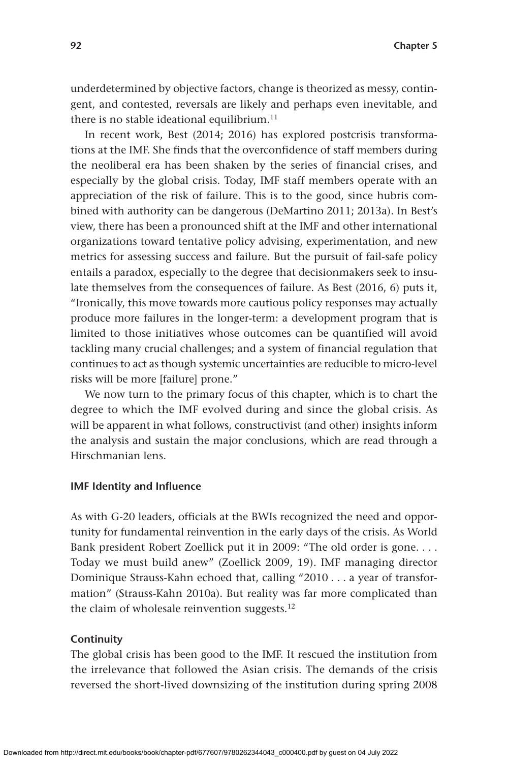underdetermined by objective factors, change is theorized as messy, contingent, and contested, reversals are likely and perhaps even inevitable, and there is no stable ideational equilibrium.<sup>11</sup>

In recent work, Best (2014; 2016) has explored postcrisis transformations at the IMF. She finds that the overconfidence of staff members during the neoliberal era has been shaken by the series of financial crises, and especially by the global crisis. Today, IMF staff members operate with an appreciation of the risk of failure. This is to the good, since hubris combined with authority can be dangerous (DeMartino 2011; 2013a). In Best's view, there has been a pronounced shift at the IMF and other international organizations toward tentative policy advising, experimentation, and new metrics for assessing success and failure. But the pursuit of fail-safe policy entails a paradox, especially to the degree that decisionmakers seek to insulate themselves from the consequences of failure. As Best (2016, 6) puts it, "Ironically, this move towards more cautious policy responses may actually produce more failures in the longer-term: a development program that is limited to those initiatives whose outcomes can be quantified will avoid tackling many crucial challenges; and a system of financial regulation that continues to act as though systemic uncertainties are reducible to micro-level risks will be more [failure] prone."

We now turn to the primary focus of this chapter, which is to chart the degree to which the IMF evolved during and since the global crisis. As will be apparent in what follows, constructivist (and other) insights inform the analysis and sustain the major conclusions, which are read through a Hirschmanian lens.

#### **IMF Identity and Influence**

As with G-20 leaders, officials at the BWIs recognized the need and opportunity for fundamental reinvention in the early days of the crisis. As World Bank president Robert Zoellick put it in 2009: "The old order is gone. . . . Today we must build anew" (Zoellick 2009, 19). IMF managing director Dominique Strauss-Kahn echoed that, calling "2010 . . . a year of transformation" (Strauss-Kahn 2010a). But reality was far more complicated than the claim of wholesale reinvention suggests.<sup>12</sup>

#### **Continuity**

The global crisis has been good to the IMF. It rescued the institution from the irrelevance that followed the Asian crisis. The demands of the crisis reversed the short-lived downsizing of the institution during spring 2008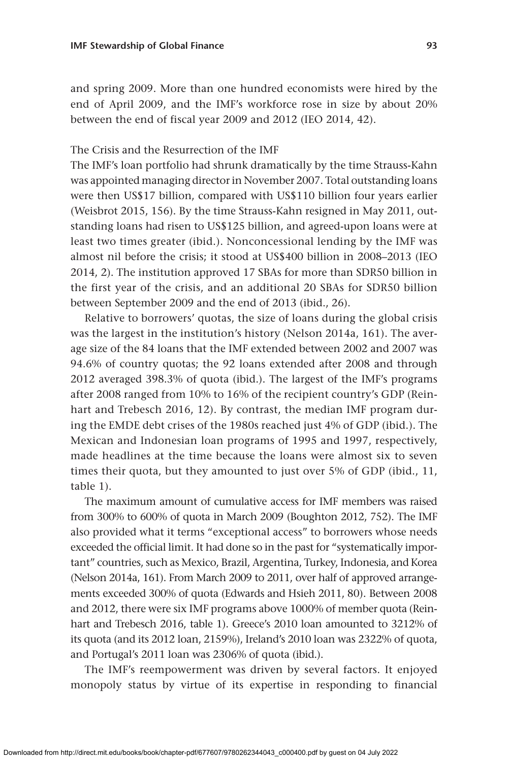and spring 2009. More than one hundred economists were hired by the end of April 2009, and the IMF's workforce rose in size by about 20% between the end of fiscal year 2009 and 2012 (IEO 2014, 42).

#### The Crisis and the Resurrection of the IMF

The IMF's loan portfolio had shrunk dramatically by the time Strauss-Kahn was appointed managing director in November 2007. Total outstanding loans were then US\$17 billion, compared with US\$110 billion four years earlier (Weisbrot 2015, 156). By the time Strauss-Kahn resigned in May 2011, outstanding loans had risen to US\$125 billion, and agreed-upon loans were at least two times greater (ibid.). Nonconcessional lending by the IMF was almost nil before the crisis; it stood at US\$400 billion in 2008–2013 (IEO 2014, 2). The institution approved 17 SBAs for more than SDR50 billion in the first year of the crisis, and an additional 20 SBAs for SDR50 billion between September 2009 and the end of 2013 (ibid., 26).

Relative to borrowers' quotas, the size of loans during the global crisis was the largest in the institution's history (Nelson 2014a, 161). The average size of the 84 loans that the IMF extended between 2002 and 2007 was 94.6% of country quotas; the 92 loans extended after 2008 and through 2012 averaged 398.3% of quota (ibid.). The largest of the IMF's programs after 2008 ranged from 10% to 16% of the recipient country's GDP (Reinhart and Trebesch 2016, 12). By contrast, the median IMF program during the EMDE debt crises of the 1980s reached just 4% of GDP (ibid.). The Mexican and Indonesian loan programs of 1995 and 1997, respectively, made headlines at the time because the loans were almost six to seven times their quota, but they amounted to just over 5% of GDP (ibid., 11, table 1).

The maximum amount of cumulative access for IMF members was raised from 300% to 600% of quota in March 2009 (Boughton 2012, 752). The IMF also provided what it terms "exceptional access" to borrowers whose needs exceeded the official limit. It had done so in the past for "systematically important" countries, such as Mexico, Brazil, Argentina, Turkey, Indonesia, and Korea (Nelson 2014a, 161). From March 2009 to 2011, over half of approved arrangements exceeded 300% of quota (Edwards and Hsieh 2011, 80). Between 2008 and 2012, there were six IMF programs above 1000% of member quota (Reinhart and Trebesch 2016, table 1). Greece's 2010 loan amounted to 3212% of its quota (and its 2012 loan, 2159%), Ireland's 2010 loan was 2322% of quota, and Portugal's 2011 loan was 2306% of quota (ibid.).

The IMF's reempowerment was driven by several factors. It enjoyed monopoly status by virtue of its expertise in responding to financial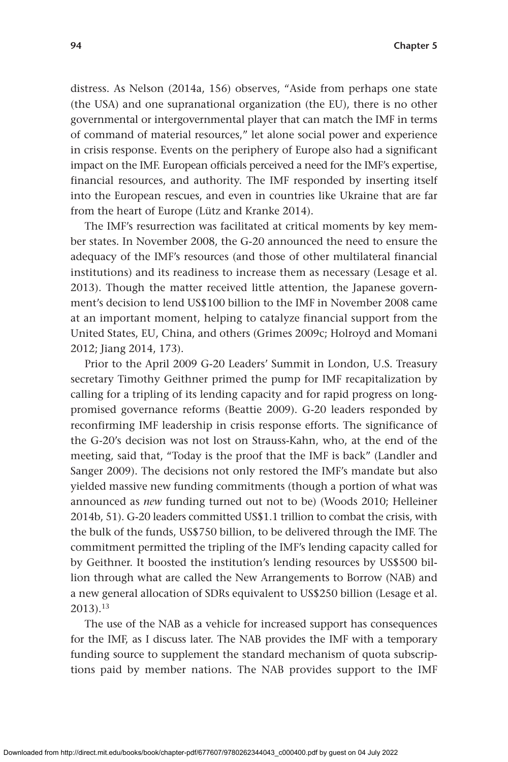distress. As Nelson (2014a, 156) observes, "Aside from perhaps one state (the USA) and one supranational organization (the EU), there is no other governmental or intergovernmental player that can match the IMF in terms of command of material resources," let alone social power and experience in crisis response. Events on the periphery of Europe also had a significant impact on the IMF. European officials perceived a need for the IMF's expertise, financial resources, and authority. The IMF responded by inserting itself into the European rescues, and even in countries like Ukraine that are far from the heart of Europe (Lütz and Kranke 2014).

The IMF's resurrection was facilitated at critical moments by key member states. In November 2008, the G-20 announced the need to ensure the adequacy of the IMF's resources (and those of other multilateral financial institutions) and its readiness to increase them as necessary (Lesage et al. 2013). Though the matter received little attention, the Japanese government's decision to lend US\$100 billion to the IMF in November 2008 came at an important moment, helping to catalyze financial support from the United States, EU, China, and others (Grimes 2009c; Holroyd and Momani 2012; Jiang 2014, 173).

Prior to the April 2009 G-20 Leaders' Summit in London, U.S. Treasury secretary Timothy Geithner primed the pump for IMF recapitalization by calling for a tripling of its lending capacity and for rapid progress on longpromised governance reforms (Beattie 2009). G-20 leaders responded by reconfirming IMF leadership in crisis response efforts. The significance of the G-20's decision was not lost on Strauss-Kahn, who, at the end of the meeting, said that, "Today is the proof that the IMF is back" (Landler and Sanger 2009). The decisions not only restored the IMF's mandate but also yielded massive new funding commitments (though a portion of what was announced as *new* funding turned out not to be) (Woods 2010; Helleiner 2014b, 51). G-20 leaders committed US\$1.1 trillion to combat the crisis, with the bulk of the funds, US\$750 billion, to be delivered through the IMF. The commitment permitted the tripling of the IMF's lending capacity called for by Geithner. It boosted the institution's lending resources by US\$500 billion through what are called the New Arrangements to Borrow (NAB) and a new general allocation of SDRs equivalent to US\$250 billion (Lesage et al. 2013).13

The use of the NAB as a vehicle for increased support has consequences for the IMF, as I discuss later. The NAB provides the IMF with a temporary funding source to supplement the standard mechanism of quota subscriptions paid by member nations. The NAB provides support to the IMF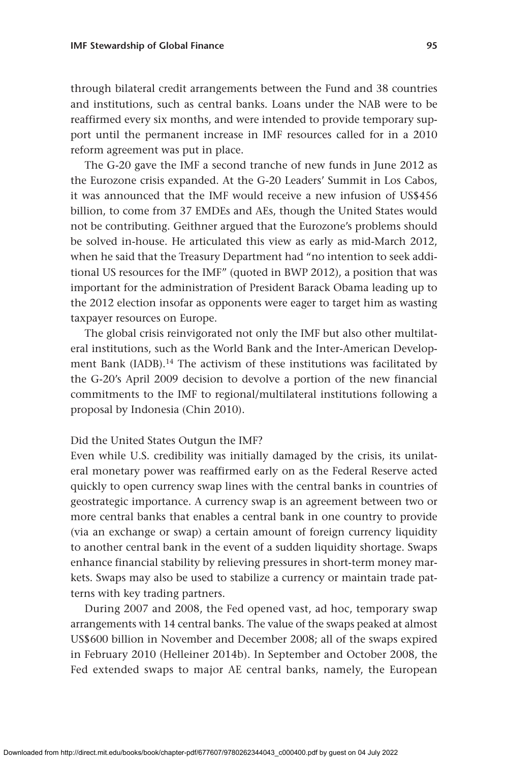through bilateral credit arrangements between the Fund and 38 countries and institutions, such as central banks. Loans under the NAB were to be reaffirmed every six months, and were intended to provide temporary support until the permanent increase in IMF resources called for in a 2010 reform agreement was put in place.

The G-20 gave the IMF a second tranche of new funds in June 2012 as the Eurozone crisis expanded. At the G-20 Leaders' Summit in Los Cabos, it was announced that the IMF would receive a new infusion of US\$456 billion, to come from 37 EMDEs and AEs, though the United States would not be contributing. Geithner argued that the Eurozone's problems should be solved in-house. He articulated this view as early as mid-March 2012, when he said that the Treasury Department had "no intention to seek additional US resources for the IMF" (quoted in BWP 2012), a position that was important for the administration of President Barack Obama leading up to the 2012 election insofar as opponents were eager to target him as wasting taxpayer resources on Europe.

The global crisis reinvigorated not only the IMF but also other multilateral institutions, such as the World Bank and the Inter-American Development Bank (IADB).<sup>14</sup> The activism of these institutions was facilitated by the G-20's April 2009 decision to devolve a portion of the new financial commitments to the IMF to regional/multilateral institutions following a proposal by Indonesia (Chin 2010).

#### Did the United States Outgun the IMF?

Even while U.S. credibility was initially damaged by the crisis, its unilateral monetary power was reaffirmed early on as the Federal Reserve acted quickly to open currency swap lines with the central banks in countries of geostrategic importance. A currency swap is an agreement between two or more central banks that enables a central bank in one country to provide (via an exchange or swap) a certain amount of foreign currency liquidity to another central bank in the event of a sudden liquidity shortage. Swaps enhance financial stability by relieving pressures in short-term money markets. Swaps may also be used to stabilize a currency or maintain trade patterns with key trading partners.

During 2007 and 2008, the Fed opened vast, ad hoc, temporary swap arrangements with 14 central banks. The value of the swaps peaked at almost US\$600 billion in November and December 2008; all of the swaps expired in February 2010 (Helleiner 2014b). In September and October 2008, the Fed extended swaps to major AE central banks, namely, the European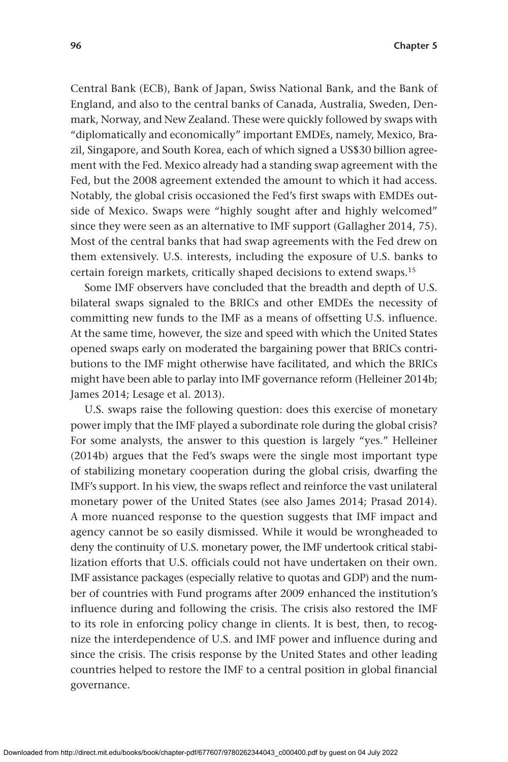Central Bank (ECB), Bank of Japan, Swiss National Bank, and the Bank of England, and also to the central banks of Canada, Australia, Sweden, Denmark, Norway, and New Zealand. These were quickly followed by swaps with "diplomatically and economically" important EMDEs, namely, Mexico, Brazil, Singapore, and South Korea, each of which signed a US\$30 billion agreement with the Fed. Mexico already had a standing swap agreement with the Fed, but the 2008 agreement extended the amount to which it had access. Notably, the global crisis occasioned the Fed's first swaps with EMDEs outside of Mexico. Swaps were "highly sought after and highly welcomed" since they were seen as an alternative to IMF support (Gallagher 2014, 75). Most of the central banks that had swap agreements with the Fed drew on them extensively. U.S. interests, including the exposure of U.S. banks to certain foreign markets, critically shaped decisions to extend swaps.15

Some IMF observers have concluded that the breadth and depth of U.S. bilateral swaps signaled to the BRICs and other EMDEs the necessity of committing new funds to the IMF as a means of offsetting U.S. influence. At the same time, however, the size and speed with which the United States opened swaps early on moderated the bargaining power that BRICs contributions to the IMF might otherwise have facilitated, and which the BRICs might have been able to parlay into IMF governance reform (Helleiner 2014b; James 2014; Lesage et al. 2013).

U.S. swaps raise the following question: does this exercise of monetary power imply that the IMF played a subordinate role during the global crisis? For some analysts, the answer to this question is largely "yes." Helleiner (2014b) argues that the Fed's swaps were the single most important type of stabilizing monetary cooperation during the global crisis, dwarfing the IMF's support. In his view, the swaps reflect and reinforce the vast unilateral monetary power of the United States (see also James 2014; Prasad 2014). A more nuanced response to the question suggests that IMF impact and agency cannot be so easily dismissed. While it would be wrongheaded to deny the continuity of U.S. monetary power, the IMF undertook critical stabilization efforts that U.S. officials could not have undertaken on their own. IMF assistance packages (especially relative to quotas and GDP) and the number of countries with Fund programs after 2009 enhanced the institution's influence during and following the crisis. The crisis also restored the IMF to its role in enforcing policy change in clients. It is best, then, to recognize the interdependence of U.S. and IMF power and influence during and since the crisis. The crisis response by the United States and other leading countries helped to restore the IMF to a central position in global financial governance.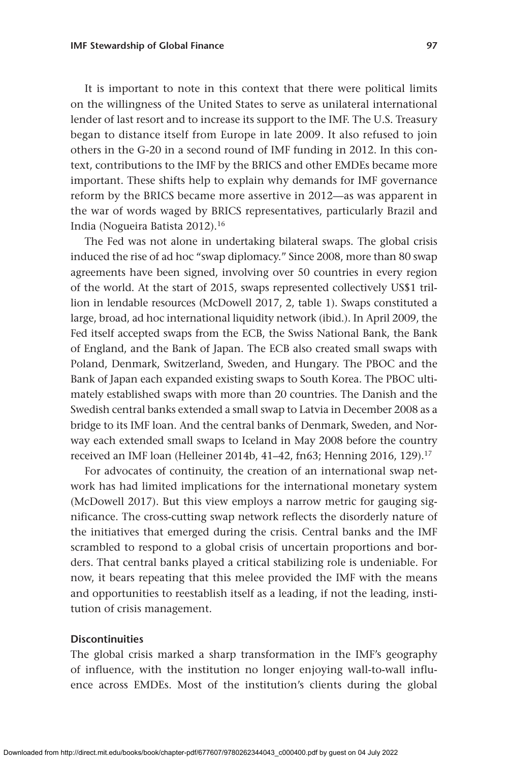It is important to note in this context that there were political limits on the willingness of the United States to serve as unilateral international lender of last resort and to increase its support to the IMF. The U.S. Treasury began to distance itself from Europe in late 2009. It also refused to join others in the G-20 in a second round of IMF funding in 2012. In this context, contributions to the IMF by the BRICS and other EMDEs became more important. These shifts help to explain why demands for IMF governance reform by the BRICS became more assertive in 2012—as was apparent in the war of words waged by BRICS representatives, particularly Brazil and India (Nogueira Batista 2012).16

The Fed was not alone in undertaking bilateral swaps. The global crisis induced the rise of ad hoc "swap diplomacy." Since 2008, more than 80 swap agreements have been signed, involving over 50 countries in every region of the world. At the start of 2015, swaps represented collectively US\$1 trillion in lendable resources (McDowell 2017, 2, table 1). Swaps constituted a large, broad, ad hoc international liquidity network (ibid.). In April 2009, the Fed itself accepted swaps from the ECB, the Swiss National Bank, the Bank of England, and the Bank of Japan. The ECB also created small swaps with Poland, Denmark, Switzerland, Sweden, and Hungary. The PBOC and the Bank of Japan each expanded existing swaps to South Korea. The PBOC ultimately established swaps with more than 20 countries. The Danish and the Swedish central banks extended a small swap to Latvia in December 2008 as a bridge to its IMF loan. And the central banks of Denmark, Sweden, and Norway each extended small swaps to Iceland in May 2008 before the country received an IMF loan (Helleiner 2014b, 41–42, fn63; Henning 2016, 129).17

For advocates of continuity, the creation of an international swap network has had limited implications for the international monetary system (McDowell 2017). But this view employs a narrow metric for gauging significance. The cross-cutting swap network reflects the disorderly nature of the initiatives that emerged during the crisis. Central banks and the IMF scrambled to respond to a global crisis of uncertain proportions and borders. That central banks played a critical stabilizing role is undeniable. For now, it bears repeating that this melee provided the IMF with the means and opportunities to reestablish itself as a leading, if not the leading, institution of crisis management.

#### **Discontinuities**

The global crisis marked a sharp transformation in the IMF's geography of influence, with the institution no longer enjoying wall-to-wall influence across EMDEs. Most of the institution's clients during the global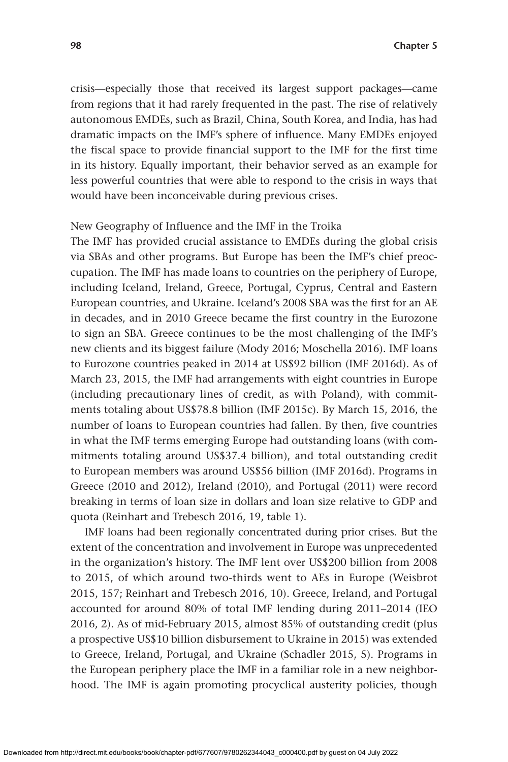crisis—especially those that received its largest support packages—came from regions that it had rarely frequented in the past. The rise of relatively autonomous EMDEs, such as Brazil, China, South Korea, and India, has had dramatic impacts on the IMF's sphere of influence. Many EMDEs enjoyed the fiscal space to provide financial support to the IMF for the first time in its history. Equally important, their behavior served as an example for less powerful countries that were able to respond to the crisis in ways that would have been inconceivable during previous crises.

#### New Geography of Influence and the IMF in the Troika

The IMF has provided crucial assistance to EMDEs during the global crisis via SBAs and other programs. But Europe has been the IMF's chief preoccupation. The IMF has made loans to countries on the periphery of Europe, including Iceland, Ireland, Greece, Portugal, Cyprus, Central and Eastern European countries, and Ukraine. Iceland's 2008 SBA was the first for an AE in decades, and in 2010 Greece became the first country in the Eurozone to sign an SBA. Greece continues to be the most challenging of the IMF's new clients and its biggest failure (Mody 2016; Moschella 2016). IMF loans to Eurozone countries peaked in 2014 at US\$92 billion (IMF 2016d). As of March 23, 2015, the IMF had arrangements with eight countries in Europe (including precautionary lines of credit, as with Poland), with commitments totaling about US\$78.8 billion (IMF 2015c). By March 15, 2016, the number of loans to European countries had fallen. By then, five countries in what the IMF terms emerging Europe had outstanding loans (with commitments totaling around US\$37.4 billion), and total outstanding credit to European members was around US\$56 billion (IMF 2016d). Programs in Greece (2010 and 2012), Ireland (2010), and Portugal (2011) were record breaking in terms of loan size in dollars and loan size relative to GDP and quota (Reinhart and Trebesch 2016, 19, table 1).

IMF loans had been regionally concentrated during prior crises. But the extent of the concentration and involvement in Europe was unprecedented in the organization's history. The IMF lent over US\$200 billion from 2008 to 2015, of which around two-thirds went to AEs in Europe (Weisbrot 2015, 157; Reinhart and Trebesch 2016, 10). Greece, Ireland, and Portugal accounted for around 80% of total IMF lending during 2011–2014 (IEO 2016, 2). As of mid-February 2015, almost 85% of outstanding credit (plus a prospective US\$10 billion disbursement to Ukraine in 2015) was extended to Greece, Ireland, Portugal, and Ukraine (Schadler 2015, 5). Programs in the European periphery place the IMF in a familiar role in a new neighborhood. The IMF is again promoting procyclical austerity policies, though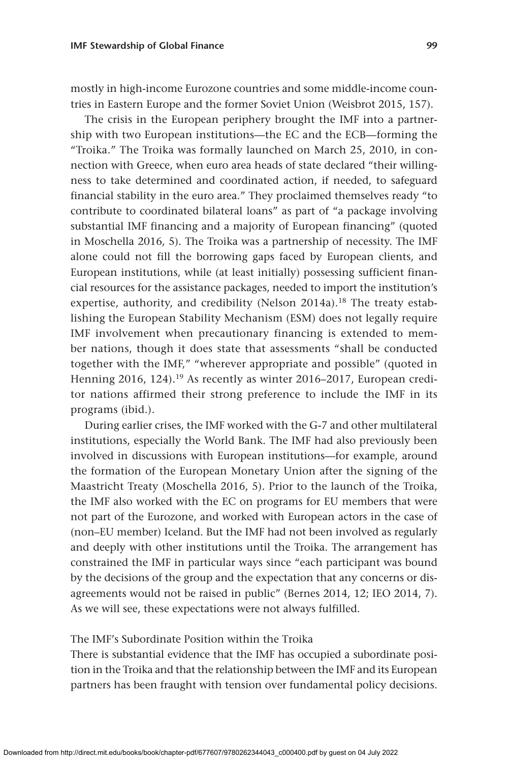mostly in high-income Eurozone countries and some middle-income countries in Eastern Europe and the former Soviet Union (Weisbrot 2015, 157).

The crisis in the European periphery brought the IMF into a partnership with two European institutions—the EC and the ECB—forming the "Troika." The Troika was formally launched on March 25, 2010, in connection with Greece, when euro area heads of state declared "their willingness to take determined and coordinated action, if needed, to safeguard financial stability in the euro area." They proclaimed themselves ready "to contribute to coordinated bilateral loans" as part of "a package involving substantial IMF financing and a majority of European financing" (quoted in Moschella 2016, 5). The Troika was a partnership of necessity. The IMF alone could not fill the borrowing gaps faced by European clients, and European institutions, while (at least initially) possessing sufficient financial resources for the assistance packages, needed to import the institution's expertise, authority, and credibility (Nelson 2014a).<sup>18</sup> The treaty establishing the European Stability Mechanism (ESM) does not legally require IMF involvement when precautionary financing is extended to member nations, though it does state that assessments "shall be conducted together with the IMF," "wherever appropriate and possible" (quoted in Henning 2016, 124).<sup>19</sup> As recently as winter 2016–2017, European creditor nations affirmed their strong preference to include the IMF in its programs (ibid.).

During earlier crises, the IMF worked with the G-7 and other multilateral institutions, especially the World Bank. The IMF had also previously been involved in discussions with European institutions—for example, around the formation of the European Monetary Union after the signing of the Maastricht Treaty (Moschella 2016, 5). Prior to the launch of the Troika, the IMF also worked with the EC on programs for EU members that were not part of the Eurozone, and worked with European actors in the case of (non–EU member) Iceland. But the IMF had not been involved as regularly and deeply with other institutions until the Troika. The arrangement has constrained the IMF in particular ways since "each participant was bound by the decisions of the group and the expectation that any concerns or disagreements would not be raised in public" (Bernes 2014, 12; IEO 2014, 7). As we will see, these expectations were not always fulfilled.

The IMF's Subordinate Position within the Troika

There is substantial evidence that the IMF has occupied a subordinate position in the Troika and that the relationship between the IMF and its European partners has been fraught with tension over fundamental policy decisions.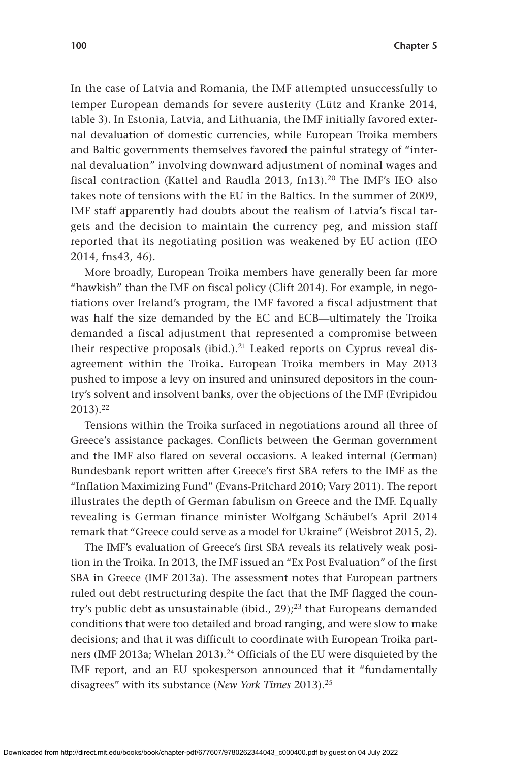In the case of Latvia and Romania, the IMF attempted unsuccessfully to temper European demands for severe austerity (Lütz and Kranke 2014, table 3). In Estonia, Latvia, and Lithuania, the IMF initially favored external devaluation of domestic currencies, while European Troika members and Baltic governments themselves favored the painful strategy of "internal devaluation" involving downward adjustment of nominal wages and fiscal contraction (Kattel and Raudla 2013, fn13).<sup>20</sup> The IMF's IEO also takes note of tensions with the EU in the Baltics. In the summer of 2009, IMF staff apparently had doubts about the realism of Latvia's fiscal targets and the decision to maintain the currency peg, and mission staff reported that its negotiating position was weakened by EU action (IEO 2014, fns43, 46).

More broadly, European Troika members have generally been far more "hawkish" than the IMF on fiscal policy (Clift 2014). For example, in negotiations over Ireland's program, the IMF favored a fiscal adjustment that was half the size demanded by the EC and ECB—ultimately the Troika demanded a fiscal adjustment that represented a compromise between their respective proposals (ibid.).<sup>21</sup> Leaked reports on Cyprus reveal disagreement within the Troika. European Troika members in May 2013 pushed to impose a levy on insured and uninsured depositors in the country's solvent and insolvent banks, over the objections of the IMF (Evripidou 2013).22

Tensions within the Troika surfaced in negotiations around all three of Greece's assistance packages. Conflicts between the German government and the IMF also flared on several occasions. A leaked internal (German) Bundesbank report written after Greece's first SBA refers to the IMF as the "Inflation Maximizing Fund" (Evans-Pritchard 2010; Vary 2011). The report illustrates the depth of German fabulism on Greece and the IMF. Equally revealing is German finance minister Wolfgang Schäubel's April 2014 remark that "Greece could serve as a model for Ukraine" (Weisbrot 2015, 2).

The IMF's evaluation of Greece's first SBA reveals its relatively weak position in the Troika. In 2013, the IMF issued an "Ex Post Evaluation" of the first SBA in Greece (IMF 2013a). The assessment notes that European partners ruled out debt restructuring despite the fact that the IMF flagged the country's public debt as unsustainable (ibid.,  $29$ );<sup>23</sup> that Europeans demanded conditions that were too detailed and broad ranging, and were slow to make decisions; and that it was difficult to coordinate with European Troika partners (IMF 2013a; Whelan 2013).<sup>24</sup> Officials of the EU were disquieted by the IMF report, and an EU spokesperson announced that it "fundamentally disagrees" with its substance (*New York Times* 2013).25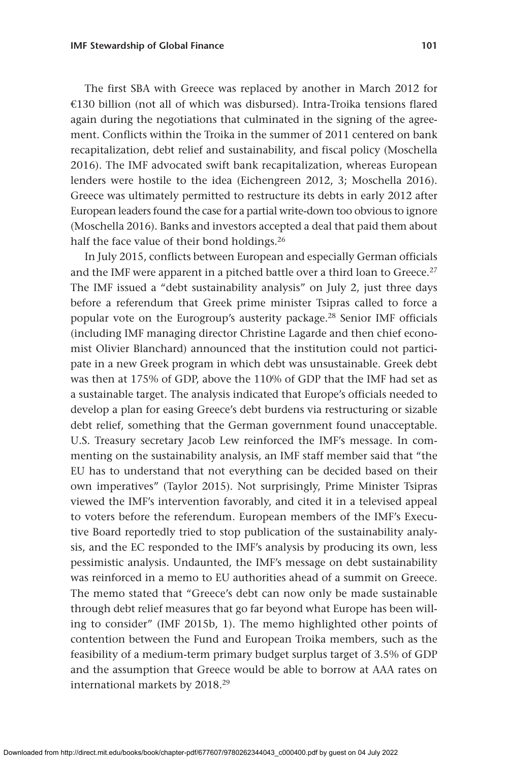The first SBA with Greece was replaced by another in March 2012 for €130 billion (not all of which was disbursed). Intra-Troika tensions flared again during the negotiations that culminated in the signing of the agreement. Conflicts within the Troika in the summer of 2011 centered on bank recapitalization, debt relief and sustainability, and fiscal policy (Moschella 2016). The IMF advocated swift bank recapitalization, whereas European lenders were hostile to the idea (Eichengreen 2012, 3; Moschella 2016). Greece was ultimately permitted to restructure its debts in early 2012 after European leaders found the case for a partial write-down too obvious to ignore (Moschella 2016). Banks and investors accepted a deal that paid them about half the face value of their bond holdings.<sup>26</sup>

In July 2015, conflicts between European and especially German officials and the IMF were apparent in a pitched battle over a third loan to Greece.<sup>27</sup> The IMF issued a "debt sustainability analysis" on July 2, just three days before a referendum that Greek prime minister Tsipras called to force a popular vote on the Eurogroup's austerity package.<sup>28</sup> Senior IMF officials (including IMF managing director Christine Lagarde and then chief economist Olivier Blanchard) announced that the institution could not participate in a new Greek program in which debt was unsustainable. Greek debt was then at 175% of GDP, above the 110% of GDP that the IMF had set as a sustainable target. The analysis indicated that Europe's officials needed to develop a plan for easing Greece's debt burdens via restructuring or sizable debt relief, something that the German government found unacceptable. U.S. Treasury secretary Jacob Lew reinforced the IMF's message. In commenting on the sustainability analysis, an IMF staff member said that "the EU has to understand that not everything can be decided based on their own imperatives" (Taylor 2015). Not surprisingly, Prime Minister Tsipras viewed the IMF's intervention favorably, and cited it in a televised appeal to voters before the referendum. European members of the IMF's Executive Board reportedly tried to stop publication of the sustainability analysis, and the EC responded to the IMF's analysis by producing its own, less pessimistic analysis. Undaunted, the IMF's message on debt sustainability was reinforced in a memo to EU authorities ahead of a summit on Greece. The memo stated that "Greece's debt can now only be made sustainable through debt relief measures that go far beyond what Europe has been willing to consider" (IMF 2015b, 1). The memo highlighted other points of contention between the Fund and European Troika members, such as the feasibility of a medium-term primary budget surplus target of 3.5% of GDP and the assumption that Greece would be able to borrow at AAA rates on international markets by 2018.29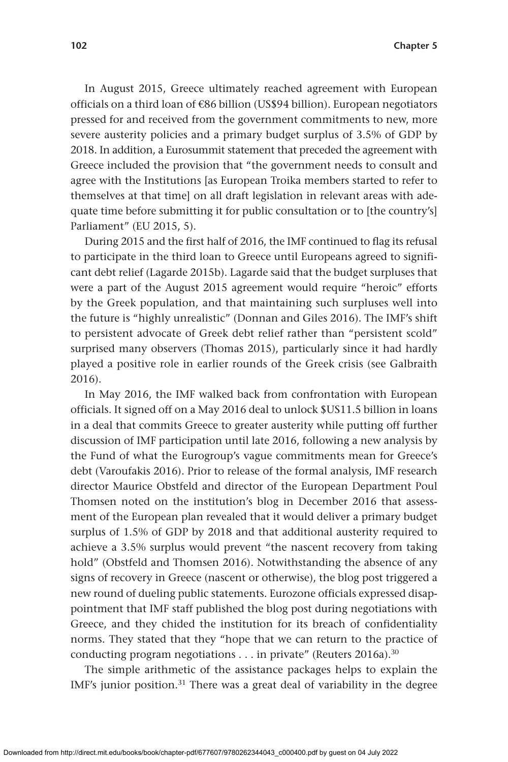In August 2015, Greece ultimately reached agreement with European officials on a third loan of €86 billion (US\$94 billion). European negotiators pressed for and received from the government commitments to new, more severe austerity policies and a primary budget surplus of 3.5% of GDP by 2018. In addition, a Eurosummit statement that preceded the agreement with Greece included the provision that "the government needs to consult and agree with the Institutions [as European Troika members started to refer to themselves at that time] on all draft legislation in relevant areas with adequate time before submitting it for public consultation or to [the country's] Parliament" (EU 2015, 5).

During 2015 and the first half of 2016, the IMF continued to flag its refusal to participate in the third loan to Greece until Europeans agreed to significant debt relief (Lagarde 2015b). Lagarde said that the budget surpluses that were a part of the August 2015 agreement would require "heroic" efforts by the Greek population, and that maintaining such surpluses well into the future is "highly unrealistic" (Donnan and Giles 2016). The IMF's shift to persistent advocate of Greek debt relief rather than "persistent scold" surprised many observers (Thomas 2015), particularly since it had hardly played a positive role in earlier rounds of the Greek crisis (see Galbraith 2016).

In May 2016, the IMF walked back from confrontation with European officials. It signed off on a May 2016 deal to unlock \$US11.5 billion in loans in a deal that commits Greece to greater austerity while putting off further discussion of IMF participation until late 2016, following a new analysis by the Fund of what the Eurogroup's vague commitments mean for Greece's debt (Varoufakis 2016). Prior to release of the formal analysis, IMF research director Maurice Obstfeld and director of the European Department Poul Thomsen noted on the institution's blog in December 2016 that assessment of the European plan revealed that it would deliver a primary budget surplus of 1.5% of GDP by 2018 and that additional austerity required to achieve a 3.5% surplus would prevent "the nascent recovery from taking hold" (Obstfeld and Thomsen 2016). Notwithstanding the absence of any signs of recovery in Greece (nascent or otherwise), the blog post triggered a new round of dueling public statements. Eurozone officials expressed disappointment that IMF staff published the blog post during negotiations with Greece, and they chided the institution for its breach of confidentiality norms. They stated that they "hope that we can return to the practice of conducting program negotiations . . . in private" (Reuters 2016a).<sup>30</sup>

The simple arithmetic of the assistance packages helps to explain the IMF's junior position.<sup>31</sup> There was a great deal of variability in the degree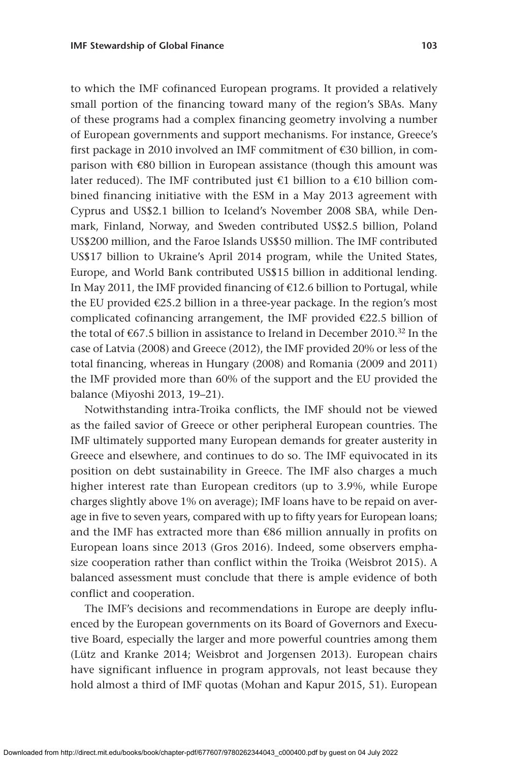to which the IMF cofinanced European programs. It provided a relatively small portion of the financing toward many of the region's SBAs. Many of these programs had a complex financing geometry involving a number of European governments and support mechanisms. For instance, Greece's first package in 2010 involved an IMF commitment of €30 billion, in comparison with €80 billion in European assistance (though this amount was later reduced). The IMF contributed just  $\epsilon$ 1 billion to a  $\epsilon$ 10 billion combined financing initiative with the ESM in a May 2013 agreement with Cyprus and US\$2.1 billion to Iceland's November 2008 SBA, while Denmark, Finland, Norway, and Sweden contributed US\$2.5 billion, Poland US\$200 million, and the Faroe Islands US\$50 million. The IMF contributed US\$17 billion to Ukraine's April 2014 program, while the United States, Europe, and World Bank contributed US\$15 billion in additional lending. In May 2011, the IMF provided financing of  $E$ 12.6 billion to Portugal, while the EU provided €25.2 billion in a three-year package. In the region's most complicated cofinancing arrangement, the IMF provided  $E22.5$  billion of the total of  $667.5$  billion in assistance to Ireland in December 2010.<sup>32</sup> In the case of Latvia (2008) and Greece (2012), the IMF provided 20% or less of the total financing, whereas in Hungary (2008) and Romania (2009 and 2011) the IMF provided more than 60% of the support and the EU provided the balance (Miyoshi 2013, 19–21).

Notwithstanding intra-Troika conflicts, the IMF should not be viewed as the failed savior of Greece or other peripheral European countries. The IMF ultimately supported many European demands for greater austerity in Greece and elsewhere, and continues to do so. The IMF equivocated in its position on debt sustainability in Greece. The IMF also charges a much higher interest rate than European creditors (up to 3.9%, while Europe charges slightly above 1% on average); IMF loans have to be repaid on average in five to seven years, compared with up to fifty years for European loans; and the IMF has extracted more than €86 million annually in profits on European loans since 2013 (Gros 2016). Indeed, some observers emphasize cooperation rather than conflict within the Troika (Weisbrot 2015). A balanced assessment must conclude that there is ample evidence of both conflict and cooperation.

The IMF's decisions and recommendations in Europe are deeply influenced by the European governments on its Board of Governors and Executive Board, especially the larger and more powerful countries among them (Lütz and Kranke 2014; Weisbrot and Jorgensen 2013). European chairs have significant influence in program approvals, not least because they hold almost a third of IMF quotas (Mohan and Kapur 2015, 51). European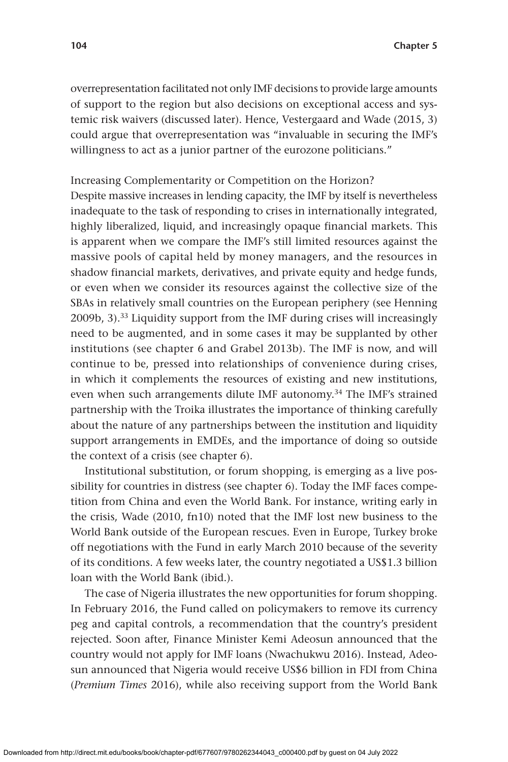overrepresentation facilitated not only IMF decisions to provide large amounts of support to the region but also decisions on exceptional access and systemic risk waivers (discussed later). Hence, Vestergaard and Wade (2015, 3) could argue that overrepresentation was "invaluable in securing the IMF's willingness to act as a junior partner of the eurozone politicians."

Increasing Complementarity or Competition on the Horizon?

Despite massive increases in lending capacity, the IMF by itself is nevertheless inadequate to the task of responding to crises in internationally integrated, highly liberalized, liquid, and increasingly opaque financial markets. This is apparent when we compare the IMF's still limited resources against the massive pools of capital held by money managers, and the resources in shadow financial markets, derivatives, and private equity and hedge funds, or even when we consider its resources against the collective size of the SBAs in relatively small countries on the European periphery (see Henning 2009b, 3).33 Liquidity support from the IMF during crises will increasingly need to be augmented, and in some cases it may be supplanted by other institutions (see chapter 6 and Grabel 2013b). The IMF is now, and will continue to be, pressed into relationships of convenience during crises, in which it complements the resources of existing and new institutions, even when such arrangements dilute IMF autonomy.34 The IMF's strained partnership with the Troika illustrates the importance of thinking carefully about the nature of any partnerships between the institution and liquidity support arrangements in EMDEs, and the importance of doing so outside the context of a crisis (see chapter 6).

Institutional substitution, or forum shopping, is emerging as a live possibility for countries in distress (see chapter 6). Today the IMF faces competition from China and even the World Bank. For instance, writing early in the crisis, Wade (2010, fn10) noted that the IMF lost new business to the World Bank outside of the European rescues. Even in Europe, Turkey broke off negotiations with the Fund in early March 2010 because of the severity of its conditions. A few weeks later, the country negotiated a US\$1.3 billion loan with the World Bank (ibid.).

The case of Nigeria illustrates the new opportunities for forum shopping. In February 2016, the Fund called on policymakers to remove its currency peg and capital controls, a recommendation that the country's president rejected. Soon after, Finance Minister Kemi Adeosun announced that the country would not apply for IMF loans (Nwachukwu 2016). Instead, Adeosun announced that Nigeria would receive US\$6 billion in FDI from China (*Premium Times* 2016), while also receiving support from the World Bank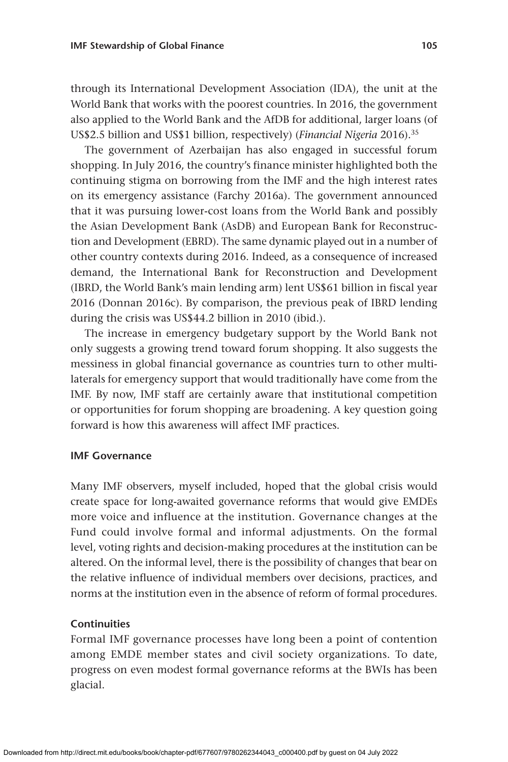through its International Development Association (IDA), the unit at the World Bank that works with the poorest countries. In 2016, the government also applied to the World Bank and the AfDB for additional, larger loans (of US\$2.5 billion and US\$1 billion, respectively) (*Financial Nigeria* 2016).35

The government of Azerbaijan has also engaged in successful forum shopping. In July 2016, the country's finance minister highlighted both the continuing stigma on borrowing from the IMF and the high interest rates on its emergency assistance (Farchy 2016a). The government announced that it was pursuing lower-cost loans from the World Bank and possibly the Asian Development Bank (AsDB) and European Bank for Reconstruction and Development (EBRD). The same dynamic played out in a number of other country contexts during 2016. Indeed, as a consequence of increased demand, the International Bank for Reconstruction and Development (IBRD, the World Bank's main lending arm) lent US\$61 billion in fiscal year 2016 (Donnan 2016c). By comparison, the previous peak of IBRD lending during the crisis was US\$44.2 billion in 2010 (ibid.).

The increase in emergency budgetary support by the World Bank not only suggests a growing trend toward forum shopping. It also suggests the messiness in global financial governance as countries turn to other multilaterals for emergency support that would traditionally have come from the IMF. By now, IMF staff are certainly aware that institutional competition or opportunities for forum shopping are broadening. A key question going forward is how this awareness will affect IMF practices.

#### **IMF Governance**

Many IMF observers, myself included, hoped that the global crisis would create space for long-awaited governance reforms that would give EMDEs more voice and influence at the institution. Governance changes at the Fund could involve formal and informal adjustments. On the formal level, voting rights and decision-making procedures at the institution can be altered. On the informal level, there is the possibility of changes that bear on the relative influence of individual members over decisions, practices, and norms at the institution even in the absence of reform of formal procedures.

#### **Continuities**

Formal IMF governance processes have long been a point of contention among EMDE member states and civil society organizations. To date, progress on even modest formal governance reforms at the BWIs has been glacial.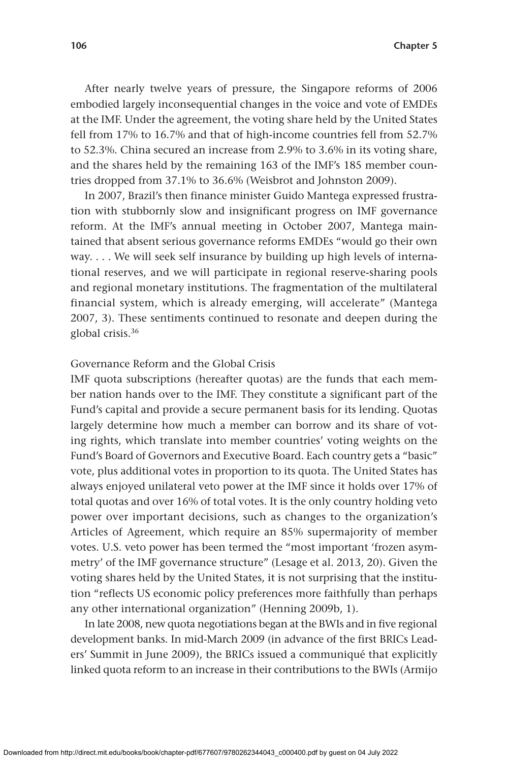After nearly twelve years of pressure, the Singapore reforms of 2006 embodied largely inconsequential changes in the voice and vote of EMDEs at the IMF. Under the agreement, the voting share held by the United States fell from 17% to 16.7% and that of high-income countries fell from 52.7% to 52.3%. China secured an increase from 2.9% to 3.6% in its voting share, and the shares held by the remaining 163 of the IMF's 185 member countries dropped from 37.1% to 36.6% (Weisbrot and Johnston 2009).

In 2007, Brazil's then finance minister Guido Mantega expressed frustration with stubbornly slow and insignificant progress on IMF governance reform. At the IMF's annual meeting in October 2007, Mantega maintained that absent serious governance reforms EMDEs "would go their own way. . . . We will seek self insurance by building up high levels of international reserves, and we will participate in regional reserve-sharing pools and regional monetary institutions. The fragmentation of the multilateral financial system, which is already emerging, will accelerate" (Mantega 2007, 3). These sentiments continued to resonate and deepen during the global crisis.36

#### Governance Reform and the Global Crisis

IMF quota subscriptions (hereafter quotas) are the funds that each member nation hands over to the IMF. They constitute a significant part of the Fund's capital and provide a secure permanent basis for its lending. Quotas largely determine how much a member can borrow and its share of voting rights, which translate into member countries' voting weights on the Fund's Board of Governors and Executive Board. Each country gets a "basic" vote, plus additional votes in proportion to its quota. The United States has always enjoyed unilateral veto power at the IMF since it holds over 17% of total quotas and over 16% of total votes. It is the only country holding veto power over important decisions, such as changes to the organization's Articles of Agreement, which require an 85% supermajority of member votes. U.S. veto power has been termed the "most important 'frozen asymmetry' of the IMF governance structure" (Lesage et al. 2013, 20). Given the voting shares held by the United States, it is not surprising that the institution "reflects US economic policy preferences more faithfully than perhaps any other international organization" (Henning 2009b, 1).

In late 2008, new quota negotiations began at the BWIs and in five regional development banks. In mid-March 2009 (in advance of the first BRICs Leaders' Summit in June 2009), the BRICs issued a communiqué that explicitly linked quota reform to an increase in their contributions to the BWIs (Armijo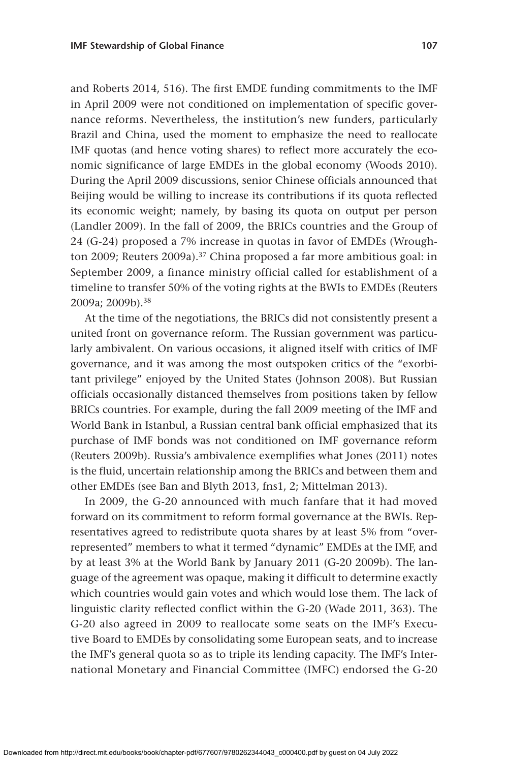and Roberts 2014, 516). The first EMDE funding commitments to the IMF in April 2009 were not conditioned on implementation of specific governance reforms. Nevertheless, the institution's new funders, particularly Brazil and China, used the moment to emphasize the need to reallocate IMF quotas (and hence voting shares) to reflect more accurately the economic significance of large EMDEs in the global economy (Woods 2010). During the April 2009 discussions, senior Chinese officials announced that Beijing would be willing to increase its contributions if its quota reflected its economic weight; namely, by basing its quota on output per person (Landler 2009). In the fall of 2009, the BRICs countries and the Group of 24 (G-24) proposed a 7% increase in quotas in favor of EMDEs (Wroughton 2009; Reuters 2009a).<sup>37</sup> China proposed a far more ambitious goal: in September 2009, a finance ministry official called for establishment of a timeline to transfer 50% of the voting rights at the BWIs to EMDEs (Reuters 2009a; 2009b).38

At the time of the negotiations, the BRICs did not consistently present a united front on governance reform. The Russian government was particularly ambivalent. On various occasions, it aligned itself with critics of IMF governance, and it was among the most outspoken critics of the "exorbitant privilege" enjoyed by the United States (Johnson 2008). But Russian officials occasionally distanced themselves from positions taken by fellow BRICs countries. For example, during the fall 2009 meeting of the IMF and World Bank in Istanbul, a Russian central bank official emphasized that its purchase of IMF bonds was not conditioned on IMF governance reform (Reuters 2009b). Russia's ambivalence exemplifies what Jones (2011) notes is the fluid, uncertain relationship among the BRICs and between them and other EMDEs (see Ban and Blyth 2013, fns1, 2; Mittelman 2013).

In 2009, the G-20 announced with much fanfare that it had moved forward on its commitment to reform formal governance at the BWIs. Representatives agreed to redistribute quota shares by at least 5% from "overrepresented" members to what it termed "dynamic" EMDEs at the IMF, and by at least 3% at the World Bank by January 2011 (G-20 2009b). The language of the agreement was opaque, making it difficult to determine exactly which countries would gain votes and which would lose them. The lack of linguistic clarity reflected conflict within the G-20 (Wade 2011, 363). The G-20 also agreed in 2009 to reallocate some seats on the IMF's Executive Board to EMDEs by consolidating some European seats, and to increase the IMF's general quota so as to triple its lending capacity. The IMF's International Monetary and Financial Committee (IMFC) endorsed the G-20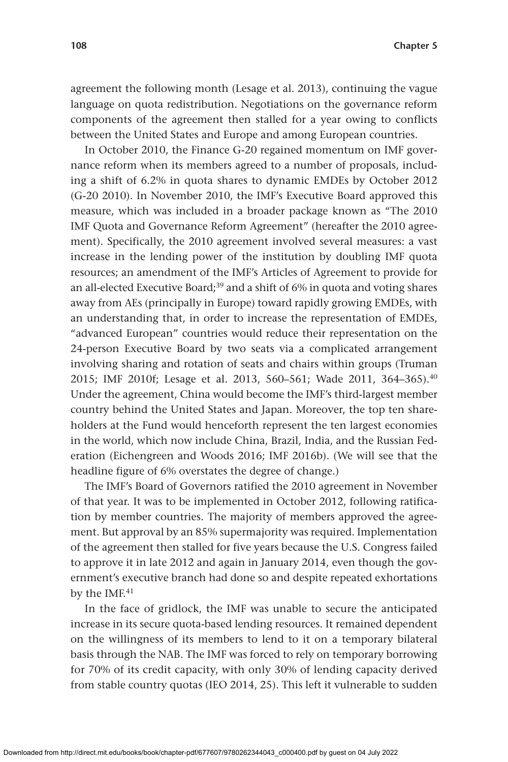agreement the following month (Lesage et al. 2013), continuing the vague language on quota redistribution. Negotiations on the governance reform components of the agreement then stalled for a year owing to conflicts between the United States and Europe and among European countries.

In October 2010, the Finance G-20 regained momentum on IMF governance reform when its members agreed to a number of proposals, including a shift of 6.2% in quota shares to dynamic EMDEs by October 2012 (G-20 2010). In November 2010, the IMF's Executive Board approved this measure, which was included in a broader package known as "The 2010 IMF Quota and Governance Reform Agreement" (hereafter the 2010 agreement). Specifically, the 2010 agreement involved several measures: a vast increase in the lending power of the institution by doubling IMF quota resources; an amendment of the IMF's Articles of Agreement to provide for an all-elected Executive Board;39 and a shift of 6% in quota and voting shares away from AEs (principally in Europe) toward rapidly growing EMDEs, with an understanding that, in order to increase the representation of EMDEs, "advanced European" countries would reduce their representation on the 24-person Executive Board by two seats via a complicated arrangement involving sharing and rotation of seats and chairs within groups (Truman 2015; IMF 2010f; Lesage et al. 2013, 560-561; Wade 2011, 364-365).<sup>40</sup> Under the agreement, China would become the IMF's third-largest member country behind the United States and Japan. Moreover, the top ten shareholders at the Fund would henceforth represent the ten largest economies in the world, which now include China, Brazil, India, and the Russian Federation (Eichengreen and Woods 2016; IMF 2016b). (We will see that the headline figure of 6% overstates the degree of change.)

The IMF's Board of Governors ratified the 2010 agreement in November of that year. It was to be implemented in October 2012, following ratification by member countries. The majority of members approved the agreement. But approval by an 85% supermajority was required. Implementation of the agreement then stalled for five years because the U.S. Congress failed to approve it in late 2012 and again in January 2014, even though the government's executive branch had done so and despite repeated exhortations by the IMF.<sup>41</sup>

In the face of gridlock, the IMF was unable to secure the anticipated increase in its secure quota-based lending resources. It remained dependent on the willingness of its members to lend to it on a temporary bilateral basis through the NAB. The IMF was forced to rely on temporary borrowing for 70% of its credit capacity, with only 30% of lending capacity derived from stable country quotas (IEO 2014, 25). This left it vulnerable to sudden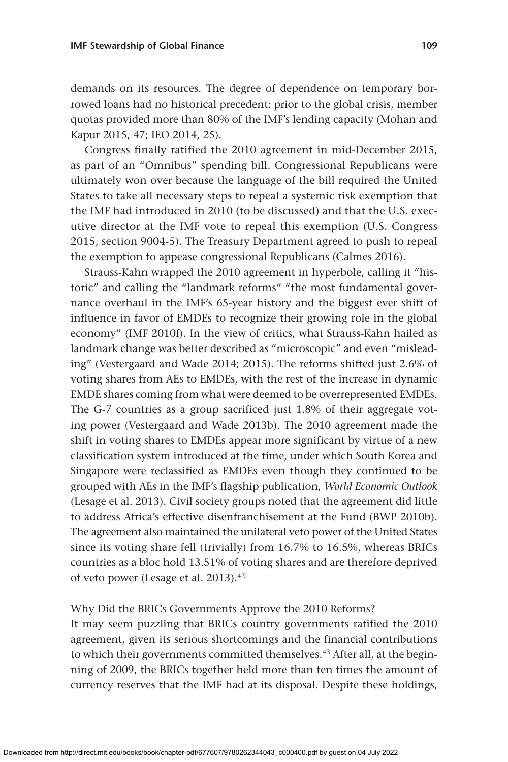demands on its resources. The degree of dependence on temporary borrowed loans had no historical precedent: prior to the global crisis, member quotas provided more than 80% of the IMF's lending capacity (Mohan and Kapur 2015, 47; IEO 2014, 25).

Congress finally ratified the 2010 agreement in mid-December 2015, as part of an "Omnibus" spending bill. Congressional Republicans were ultimately won over because the language of the bill required the United States to take all necessary steps to repeal a systemic risk exemption that the IMF had introduced in 2010 (to be discussed) and that the U.S. executive director at the IMF vote to repeal this exemption (U.S. Congress 2015, section 9004-5). The Treasury Department agreed to push to repeal the exemption to appease congressional Republicans (Calmes 2016).

Strauss-Kahn wrapped the 2010 agreement in hyperbole, calling it "historic" and calling the "landmark reforms" "the most fundamental governance overhaul in the IMF's 65-year history and the biggest ever shift of influence in favor of EMDEs to recognize their growing role in the global economy" (IMF 2010f). In the view of critics, what Strauss-Kahn hailed as landmark change was better described as "microscopic" and even "misleading" (Vestergaard and Wade 2014; 2015). The reforms shifted just 2.6% of voting shares from AEs to EMDEs, with the rest of the increase in dynamic EMDE shares coming from what were deemed to be overrepresented EMDEs. The G-7 countries as a group sacrificed just 1.8% of their aggregate voting power (Vestergaard and Wade 2013b). The 2010 agreement made the shift in voting shares to EMDEs appear more significant by virtue of a new classification system introduced at the time, under which South Korea and Singapore were reclassified as EMDEs even though they continued to be grouped with AEs in the IMF's flagship publication, *World Economic Outlook* (Lesage et al. 2013). Civil society groups noted that the agreement did little to address Africa's effective disenfranchisement at the Fund (BWP 2010b). The agreement also maintained the unilateral veto power of the United States since its voting share fell (trivially) from 16.7% to 16.5%, whereas BRICs countries as a bloc hold 13.51% of voting shares and are therefore deprived of veto power (Lesage et al. 2013).42

#### Why Did the BRICs Governments Approve the 2010 Reforms?

It may seem puzzling that BRICs country governments ratified the 2010 agreement, given its serious shortcomings and the financial contributions to which their governments committed themselves.<sup>43</sup> After all, at the beginning of 2009, the BRICs together held more than ten times the amount of currency reserves that the IMF had at its disposal. Despite these holdings,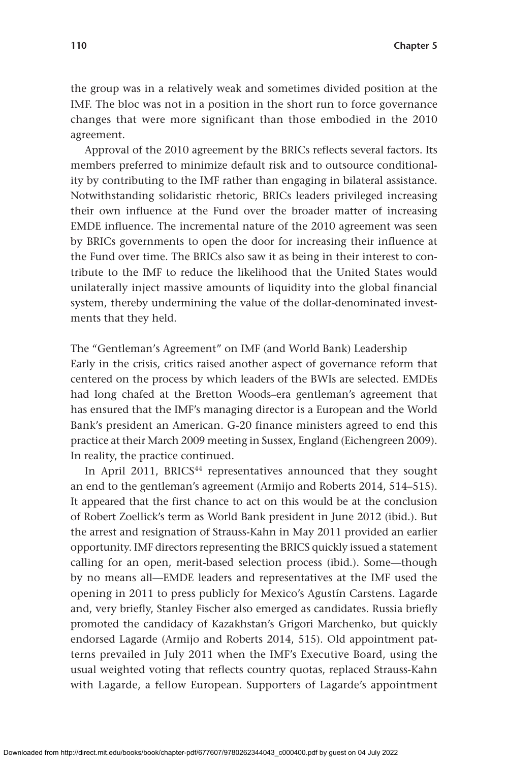the group was in a relatively weak and sometimes divided position at the IMF. The bloc was not in a position in the short run to force governance changes that were more significant than those embodied in the 2010 agreement.

Approval of the 2010 agreement by the BRICs reflects several factors. Its members preferred to minimize default risk and to outsource conditionality by contributing to the IMF rather than engaging in bilateral assistance. Notwithstanding solidaristic rhetoric, BRICs leaders privileged increasing their own influence at the Fund over the broader matter of increasing EMDE influence. The incremental nature of the 2010 agreement was seen by BRICs governments to open the door for increasing their influence at the Fund over time. The BRICs also saw it as being in their interest to contribute to the IMF to reduce the likelihood that the United States would unilaterally inject massive amounts of liquidity into the global financial system, thereby undermining the value of the dollar-denominated investments that they held.

The "Gentleman's Agreement" on IMF (and World Bank) Leadership Early in the crisis, critics raised another aspect of governance reform that centered on the process by which leaders of the BWIs are selected. EMDEs had long chafed at the Bretton Woods–era gentleman's agreement that has ensured that the IMF's managing director is a European and the World Bank's president an American. G-20 finance ministers agreed to end this practice at their March 2009 meeting in Sussex, England (Eichengreen 2009). In reality, the practice continued.

In April 2011, BRICS<sup>44</sup> representatives announced that they sought an end to the gentleman's agreement (Armijo and Roberts 2014, 514–515). It appeared that the first chance to act on this would be at the conclusion of Robert Zoellick's term as World Bank president in June 2012 (ibid.). But the arrest and resignation of Strauss-Kahn in May 2011 provided an earlier opportunity. IMF directors representing the BRICS quickly issued a statement calling for an open, merit-based selection process (ibid.). Some—though by no means all—EMDE leaders and representatives at the IMF used the opening in 2011 to press publicly for Mexico's Agustín Carstens. Lagarde and, very briefly, Stanley Fischer also emerged as candidates. Russia briefly promoted the candidacy of Kazakhstan's Grigori Marchenko, but quickly endorsed Lagarde (Armijo and Roberts 2014, 515). Old appointment patterns prevailed in July 2011 when the IMF's Executive Board, using the usual weighted voting that reflects country quotas, replaced Strauss-Kahn with Lagarde, a fellow European. Supporters of Lagarde's appointment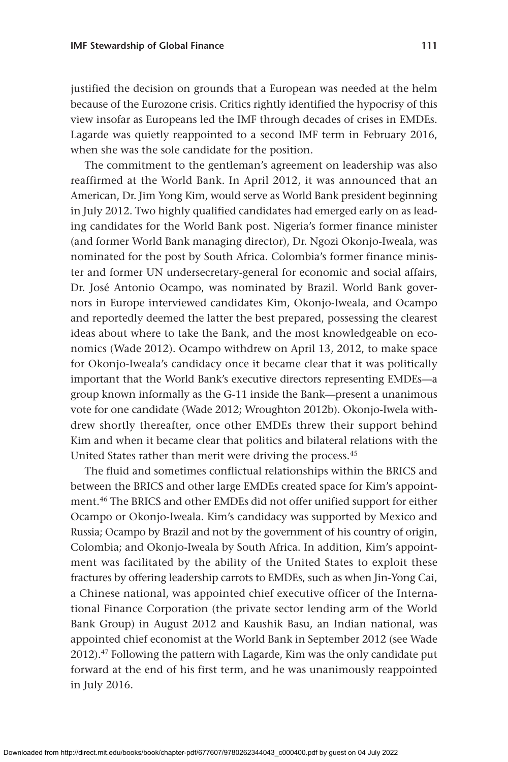justified the decision on grounds that a European was needed at the helm because of the Eurozone crisis. Critics rightly identified the hypocrisy of this view insofar as Europeans led the IMF through decades of crises in EMDEs. Lagarde was quietly reappointed to a second IMF term in February 2016, when she was the sole candidate for the position.

The commitment to the gentleman's agreement on leadership was also reaffirmed at the World Bank. In April 2012, it was announced that an American, Dr. Jim Yong Kim, would serve as World Bank president beginning in July 2012. Two highly qualified candidates had emerged early on as leading candidates for the World Bank post. Nigeria's former finance minister (and former World Bank managing director), Dr. Ngozi Okonjo-Iweala, was nominated for the post by South Africa. Colombia's former finance minister and former UN undersecretary-general for economic and social affairs, Dr. José Antonio Ocampo, was nominated by Brazil. World Bank governors in Europe interviewed candidates Kim, Okonjo-Iweala, and Ocampo and reportedly deemed the latter the best prepared, possessing the clearest ideas about where to take the Bank, and the most knowledgeable on economics (Wade 2012). Ocampo withdrew on April 13, 2012, to make space for Okonjo-Iweala's candidacy once it became clear that it was politically important that the World Bank's executive directors representing EMDEs—a group known informally as the G-11 inside the Bank—present a unanimous vote for one candidate (Wade 2012; Wroughton 2012b). Okonjo-Iwela withdrew shortly thereafter, once other EMDEs threw their support behind Kim and when it became clear that politics and bilateral relations with the United States rather than merit were driving the process.45

The fluid and sometimes conflictual relationships within the BRICS and between the BRICS and other large EMDEs created space for Kim's appointment.46 The BRICS and other EMDEs did not offer unified support for either Ocampo or Okonjo-Iweala. Kim's candidacy was supported by Mexico and Russia; Ocampo by Brazil and not by the government of his country of origin, Colombia; and Okonjo-Iweala by South Africa. In addition, Kim's appointment was facilitated by the ability of the United States to exploit these fractures by offering leadership carrots to EMDEs, such as when Jin-Yong Cai, a Chinese national, was appointed chief executive officer of the International Finance Corporation (the private sector lending arm of the World Bank Group) in August 2012 and Kaushik Basu, an Indian national, was appointed chief economist at the World Bank in September 2012 (see Wade 2012).<sup>47</sup> Following the pattern with Lagarde, Kim was the only candidate put forward at the end of his first term, and he was unanimously reappointed in July 2016.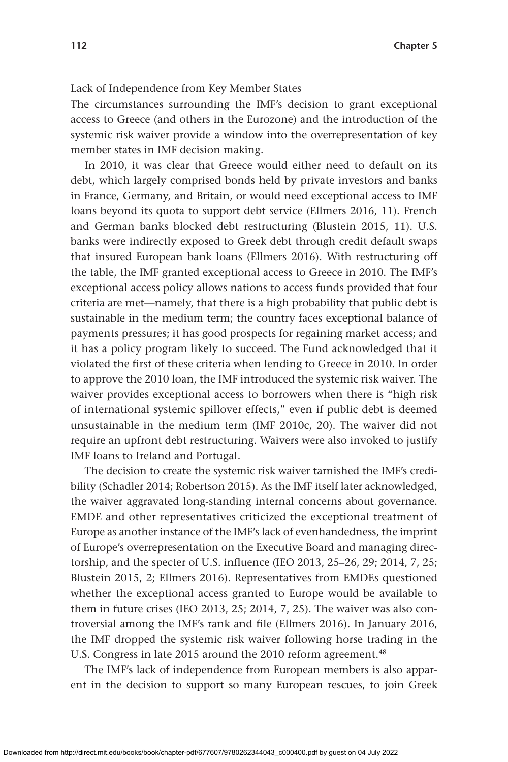#### Lack of Independence from Key Member States

The circumstances surrounding the IMF's decision to grant exceptional access to Greece (and others in the Eurozone) and the introduction of the systemic risk waiver provide a window into the overrepresentation of key member states in IMF decision making.

In 2010, it was clear that Greece would either need to default on its debt, which largely comprised bonds held by private investors and banks in France, Germany, and Britain, or would need exceptional access to IMF loans beyond its quota to support debt service (Ellmers 2016, 11). French and German banks blocked debt restructuring (Blustein 2015, 11). U.S. banks were indirectly exposed to Greek debt through credit default swaps that insured European bank loans (Ellmers 2016). With restructuring off the table, the IMF granted exceptional access to Greece in 2010. The IMF's exceptional access policy allows nations to access funds provided that four criteria are met—namely, that there is a high probability that public debt is sustainable in the medium term; the country faces exceptional balance of payments pressures; it has good prospects for regaining market access; and it has a policy program likely to succeed. The Fund acknowledged that it violated the first of these criteria when lending to Greece in 2010. In order to approve the 2010 loan, the IMF introduced the systemic risk waiver. The waiver provides exceptional access to borrowers when there is "high risk of international systemic spillover effects," even if public debt is deemed unsustainable in the medium term (IMF 2010c, 20). The waiver did not require an upfront debt restructuring. Waivers were also invoked to justify IMF loans to Ireland and Portugal.

The decision to create the systemic risk waiver tarnished the IMF's credibility (Schadler 2014; Robertson 2015). As the IMF itself later acknowledged, the waiver aggravated long-standing internal concerns about governance. EMDE and other representatives criticized the exceptional treatment of Europe as another instance of the IMF's lack of evenhandedness, the imprint of Europe's overrepresentation on the Executive Board and managing directorship, and the specter of U.S. influence (IEO 2013, 25–26, 29; 2014, 7, 25; Blustein 2015, 2; Ellmers 2016). Representatives from EMDEs questioned whether the exceptional access granted to Europe would be available to them in future crises (IEO 2013, 25; 2014, 7, 25). The waiver was also controversial among the IMF's rank and file (Ellmers 2016). In January 2016, the IMF dropped the systemic risk waiver following horse trading in the U.S. Congress in late 2015 around the 2010 reform agreement.<sup>48</sup>

The IMF's lack of independence from European members is also apparent in the decision to support so many European rescues, to join Greek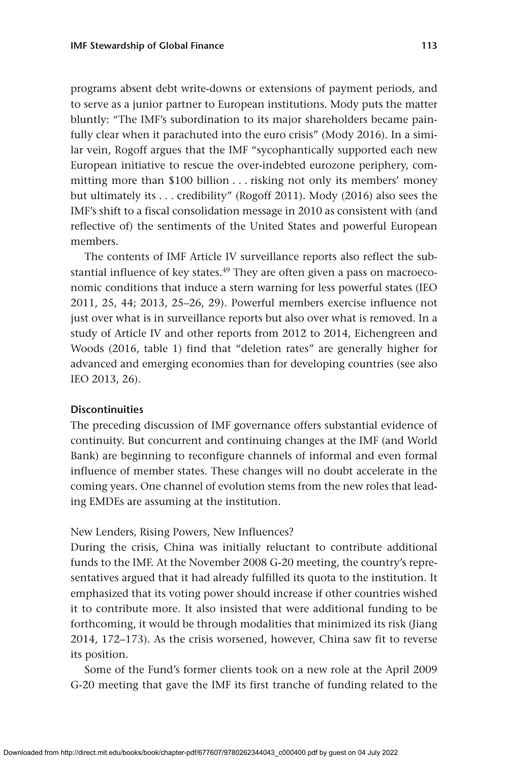programs absent debt write-downs or extensions of payment periods, and to serve as a junior partner to European institutions. Mody puts the matter bluntly: "The IMF's subordination to its major shareholders became painfully clear when it parachuted into the euro crisis" (Mody 2016). In a similar vein, Rogoff argues that the IMF "sycophantically supported each new European initiative to rescue the over-indebted eurozone periphery, committing more than \$100 billion . . . risking not only its members' money but ultimately its . . . credibility" (Rogoff 2011). Mody (2016) also sees the IMF's shift to a fiscal consolidation message in 2010 as consistent with (and reflective of) the sentiments of the United States and powerful European members.

The contents of IMF Article IV surveillance reports also reflect the substantial influence of key states.<sup>49</sup> They are often given a pass on macroeconomic conditions that induce a stern warning for less powerful states (IEO 2011, 25, 44; 2013, 25–26, 29). Powerful members exercise influence not just over what is in surveillance reports but also over what is removed. In a study of Article IV and other reports from 2012 to 2014, Eichengreen and Woods (2016, table 1) find that "deletion rates" are generally higher for advanced and emerging economies than for developing countries (see also IEO 2013, 26).

#### **Discontinuities**

The preceding discussion of IMF governance offers substantial evidence of continuity. But concurrent and continuing changes at the IMF (and World Bank) are beginning to reconfigure channels of informal and even formal influence of member states. These changes will no doubt accelerate in the coming years. One channel of evolution stems from the new roles that leading EMDEs are assuming at the institution.

#### New Lenders, Rising Powers, New Influences?

During the crisis, China was initially reluctant to contribute additional funds to the IMF. At the November 2008 G-20 meeting, the country's representatives argued that it had already fulfilled its quota to the institution. It emphasized that its voting power should increase if other countries wished it to contribute more. It also insisted that were additional funding to be forthcoming, it would be through modalities that minimized its risk (Jiang 2014, 172–173). As the crisis worsened, however, China saw fit to reverse its position.

Some of the Fund's former clients took on a new role at the April 2009 G-20 meeting that gave the IMF its first tranche of funding related to the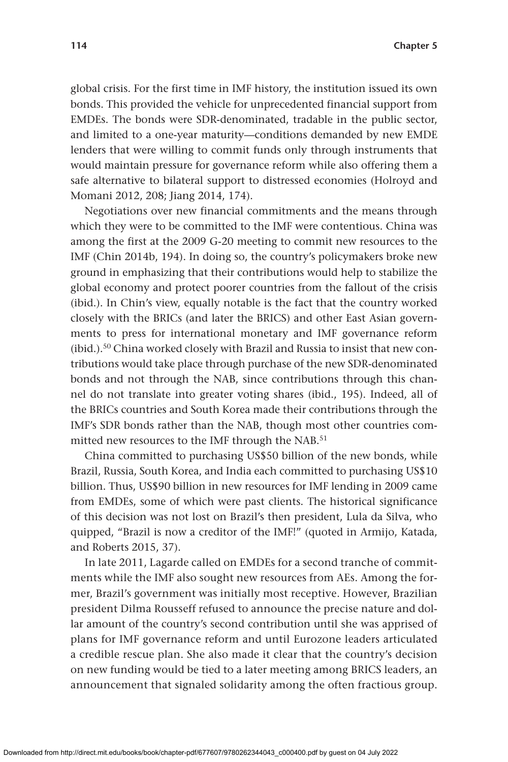global crisis. For the first time in IMF history, the institution issued its own bonds. This provided the vehicle for unprecedented financial support from EMDEs. The bonds were SDR-denominated, tradable in the public sector, and limited to a one-year maturity—conditions demanded by new EMDE lenders that were willing to commit funds only through instruments that would maintain pressure for governance reform while also offering them a safe alternative to bilateral support to distressed economies (Holroyd and Momani 2012, 208; Jiang 2014, 174).

Negotiations over new financial commitments and the means through which they were to be committed to the IMF were contentious. China was among the first at the 2009 G-20 meeting to commit new resources to the IMF (Chin 2014b, 194). In doing so, the country's policymakers broke new ground in emphasizing that their contributions would help to stabilize the global economy and protect poorer countries from the fallout of the crisis (ibid.). In Chin's view, equally notable is the fact that the country worked closely with the BRICs (and later the BRICS) and other East Asian governments to press for international monetary and IMF governance reform (ibid.).50 China worked closely with Brazil and Russia to insist that new contributions would take place through purchase of the new SDR-denominated bonds and not through the NAB, since contributions through this channel do not translate into greater voting shares (ibid., 195). Indeed, all of the BRICs countries and South Korea made their contributions through the IMF's SDR bonds rather than the NAB, though most other countries committed new resources to the IMF through the NAB.<sup>51</sup>

China committed to purchasing US\$50 billion of the new bonds, while Brazil, Russia, South Korea, and India each committed to purchasing US\$10 billion. Thus, US\$90 billion in new resources for IMF lending in 2009 came from EMDEs, some of which were past clients. The historical significance of this decision was not lost on Brazil's then president, Lula da Silva, who quipped, "Brazil is now a creditor of the IMF!" (quoted in Armijo, Katada, and Roberts 2015, 37).

In late 2011, Lagarde called on EMDEs for a second tranche of commitments while the IMF also sought new resources from AEs. Among the former, Brazil's government was initially most receptive. However, Brazilian president Dilma Rousseff refused to announce the precise nature and dollar amount of the country's second contribution until she was apprised of plans for IMF governance reform and until Eurozone leaders articulated a credible rescue plan. She also made it clear that the country's decision on new funding would be tied to a later meeting among BRICS leaders, an announcement that signaled solidarity among the often fractious group.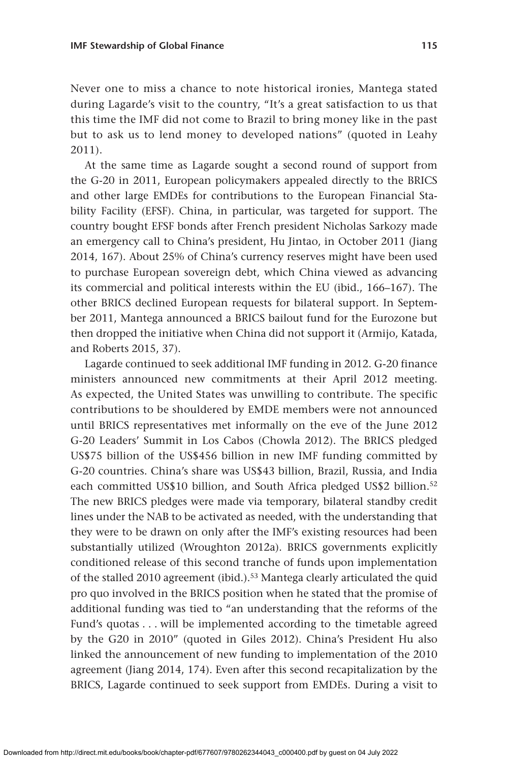Never one to miss a chance to note historical ironies, Mantega stated during Lagarde's visit to the country, "It's a great satisfaction to us that this time the IMF did not come to Brazil to bring money like in the past but to ask us to lend money to developed nations" (quoted in Leahy 2011).

At the same time as Lagarde sought a second round of support from the G-20 in 2011, European policymakers appealed directly to the BRICS and other large EMDEs for contributions to the European Financial Stability Facility (EFSF). China, in particular, was targeted for support. The country bought EFSF bonds after French president Nicholas Sarkozy made an emergency call to China's president, Hu Jintao, in October 2011 (Jiang 2014, 167). About 25% of China's currency reserves might have been used to purchase European sovereign debt, which China viewed as advancing its commercial and political interests within the EU (ibid., 166–167). The other BRICS declined European requests for bilateral support. In September 2011, Mantega announced a BRICS bailout fund for the Eurozone but then dropped the initiative when China did not support it (Armijo, Katada, and Roberts 2015, 37).

Lagarde continued to seek additional IMF funding in 2012. G-20 finance ministers announced new commitments at their April 2012 meeting. As expected, the United States was unwilling to contribute. The specific contributions to be shouldered by EMDE members were not announced until BRICS representatives met informally on the eve of the June 2012 G-20 Leaders' Summit in Los Cabos (Chowla 2012). The BRICS pledged US\$75 billion of the US\$456 billion in new IMF funding committed by G-20 countries. China's share was US\$43 billion, Brazil, Russia, and India each committed US\$10 billion, and South Africa pledged US\$2 billion.<sup>52</sup> The new BRICS pledges were made via temporary, bilateral standby credit lines under the NAB to be activated as needed, with the understanding that they were to be drawn on only after the IMF's existing resources had been substantially utilized (Wroughton 2012a). BRICS governments explicitly conditioned release of this second tranche of funds upon implementation of the stalled 2010 agreement (ibid.).53 Mantega clearly articulated the quid pro quo involved in the BRICS position when he stated that the promise of additional funding was tied to "an understanding that the reforms of the Fund's quotas . . . will be implemented according to the timetable agreed by the G20 in 2010" (quoted in Giles 2012). China's President Hu also linked the announcement of new funding to implementation of the 2010 agreement (Jiang 2014, 174). Even after this second recapitalization by the BRICS, Lagarde continued to seek support from EMDEs. During a visit to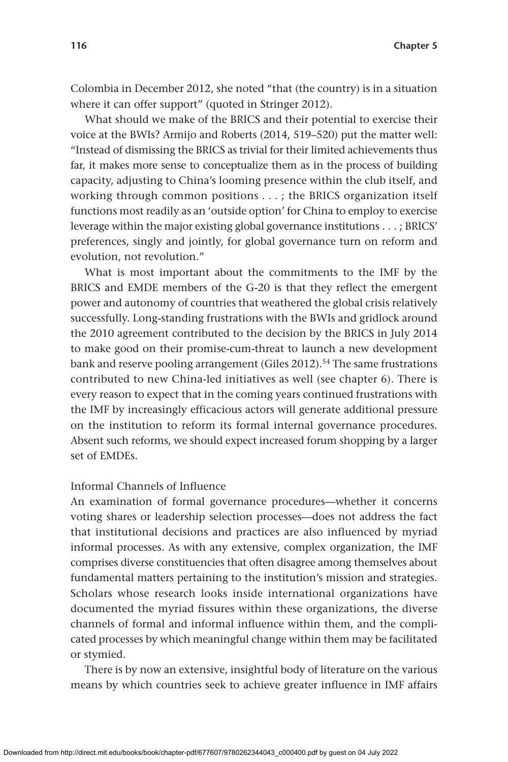Colombia in December 2012, she noted "that (the country) is in a situation where it can offer support" (quoted in Stringer 2012).

What should we make of the BRICS and their potential to exercise their voice at the BWIs? Armijo and Roberts (2014, 519–520) put the matter well: "Instead of dismissing the BRICS as trivial for their limited achievements thus far, it makes more sense to conceptualize them as in the process of building capacity, adjusting to China's looming presence within the club itself, and working through common positions . . . ; the BRICS organization itself functions most readily as an 'outside option' for China to employ to exercise leverage within the major existing global governance institutions . . . ; BRICS' preferences, singly and jointly, for global governance turn on reform and evolution, not revolution."

What is most important about the commitments to the IMF by the BRICS and EMDE members of the G-20 is that they reflect the emergent power and autonomy of countries that weathered the global crisis relatively successfully. Long-standing frustrations with the BWIs and gridlock around the 2010 agreement contributed to the decision by the BRICS in July 2014 to make good on their promise-cum-threat to launch a new development bank and reserve pooling arrangement (Giles 2012).<sup>54</sup> The same frustrations contributed to new China-led initiatives as well (see chapter 6). There is every reason to expect that in the coming years continued frustrations with the IMF by increasingly efficacious actors will generate additional pressure on the institution to reform its formal internal governance procedures. Absent such reforms, we should expect increased forum shopping by a larger set of EMDEs.

#### Informal Channels of Influence

An examination of formal governance procedures—whether it concerns voting shares or leadership selection processes—does not address the fact that institutional decisions and practices are also influenced by myriad informal processes. As with any extensive, complex organization, the IMF comprises diverse constituencies that often disagree among themselves about fundamental matters pertaining to the institution's mission and strategies. Scholars whose research looks inside international organizations have documented the myriad fissures within these organizations, the diverse channels of formal and informal influence within them, and the complicated processes by which meaningful change within them may be facilitated or stymied.

There is by now an extensive, insightful body of literature on the various means by which countries seek to achieve greater influence in IMF affairs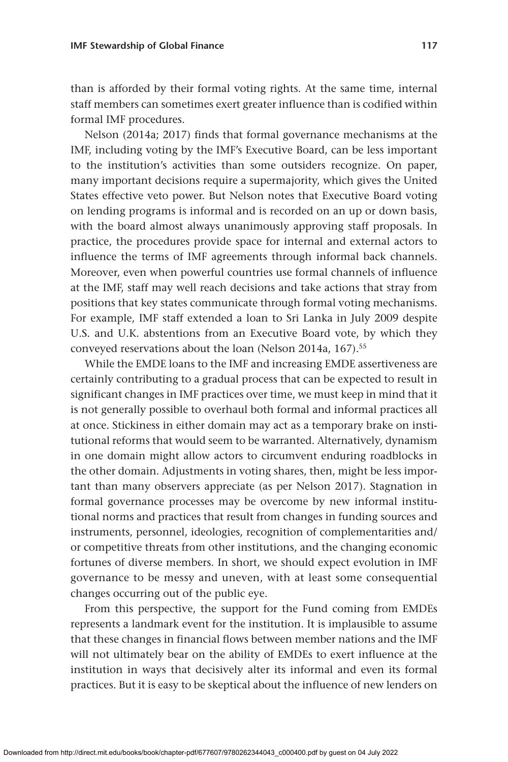than is afforded by their formal voting rights. At the same time, internal staff members can sometimes exert greater influence than is codified within formal IMF procedures.

Nelson (2014a; 2017) finds that formal governance mechanisms at the IMF, including voting by the IMF's Executive Board, can be less important to the institution's activities than some outsiders recognize. On paper, many important decisions require a supermajority, which gives the United States effective veto power. But Nelson notes that Executive Board voting on lending programs is informal and is recorded on an up or down basis, with the board almost always unanimously approving staff proposals. In practice, the procedures provide space for internal and external actors to influence the terms of IMF agreements through informal back channels. Moreover, even when powerful countries use formal channels of influence at the IMF, staff may well reach decisions and take actions that stray from positions that key states communicate through formal voting mechanisms. For example, IMF staff extended a loan to Sri Lanka in July 2009 despite U.S. and U.K. abstentions from an Executive Board vote, by which they conveyed reservations about the loan (Nelson 2014a, 167).<sup>55</sup>

While the EMDE loans to the IMF and increasing EMDE assertiveness are certainly contributing to a gradual process that can be expected to result in significant changes in IMF practices over time, we must keep in mind that it is not generally possible to overhaul both formal and informal practices all at once. Stickiness in either domain may act as a temporary brake on institutional reforms that would seem to be warranted. Alternatively, dynamism in one domain might allow actors to circumvent enduring roadblocks in the other domain. Adjustments in voting shares, then, might be less important than many observers appreciate (as per Nelson 2017). Stagnation in formal governance processes may be overcome by new informal institutional norms and practices that result from changes in funding sources and instruments, personnel, ideologies, recognition of complementarities and/ or competitive threats from other institutions, and the changing economic fortunes of diverse members. In short, we should expect evolution in IMF governance to be messy and uneven, with at least some consequential changes occurring out of the public eye.

From this perspective, the support for the Fund coming from EMDEs represents a landmark event for the institution. It is implausible to assume that these changes in financial flows between member nations and the IMF will not ultimately bear on the ability of EMDEs to exert influence at the institution in ways that decisively alter its informal and even its formal practices. But it is easy to be skeptical about the influence of new lenders on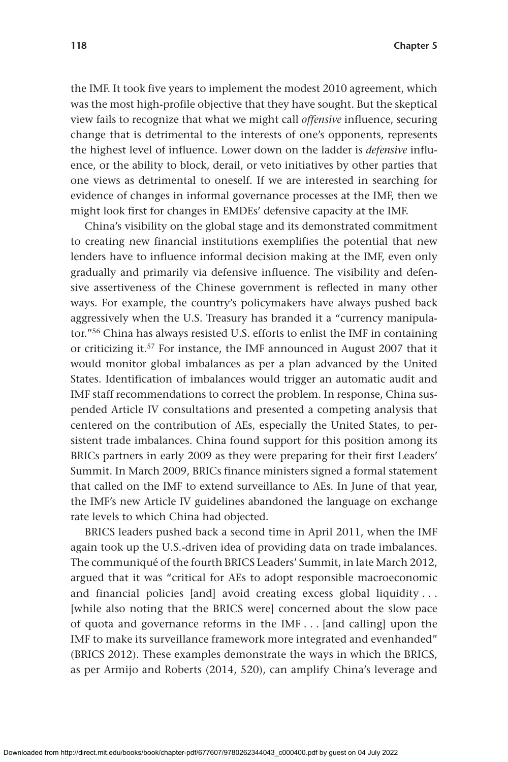the IMF. It took five years to implement the modest 2010 agreement, which was the most high-profile objective that they have sought. But the skeptical view fails to recognize that what we might call *offensive* influence, securing change that is detrimental to the interests of one's opponents, represents the highest level of influence. Lower down on the ladder is *defensive* influence, or the ability to block, derail, or veto initiatives by other parties that one views as detrimental to oneself. If we are interested in searching for evidence of changes in informal governance processes at the IMF, then we might look first for changes in EMDEs' defensive capacity at the IMF.

China's visibility on the global stage and its demonstrated commitment to creating new financial institutions exemplifies the potential that new lenders have to influence informal decision making at the IMF, even only gradually and primarily via defensive influence. The visibility and defensive assertiveness of the Chinese government is reflected in many other ways. For example, the country's policymakers have always pushed back aggressively when the U.S. Treasury has branded it a "currency manipulator."56 China has always resisted U.S. efforts to enlist the IMF in containing or criticizing it.57 For instance, the IMF announced in August 2007 that it would monitor global imbalances as per a plan advanced by the United States. Identification of imbalances would trigger an automatic audit and IMF staff recommendations to correct the problem. In response, China suspended Article IV consultations and presented a competing analysis that centered on the contribution of AEs, especially the United States, to persistent trade imbalances. China found support for this position among its BRICs partners in early 2009 as they were preparing for their first Leaders' Summit. In March 2009, BRICs finance ministers signed a formal statement that called on the IMF to extend surveillance to AEs. In June of that year, the IMF's new Article IV guidelines abandoned the language on exchange rate levels to which China had objected.

BRICS leaders pushed back a second time in April 2011, when the IMF again took up the U.S.-driven idea of providing data on trade imbalances. The communiqué of the fourth BRICS Leaders' Summit, in late March 2012, argued that it was "critical for AEs to adopt responsible macroeconomic and financial policies [and] avoid creating excess global liquidity ... [while also noting that the BRICS were] concerned about the slow pace of quota and governance reforms in the IMF . . . [and calling] upon the IMF to make its surveillance framework more integrated and evenhanded" (BRICS 2012). These examples demonstrate the ways in which the BRICS, as per Armijo and Roberts (2014, 520), can amplify China's leverage and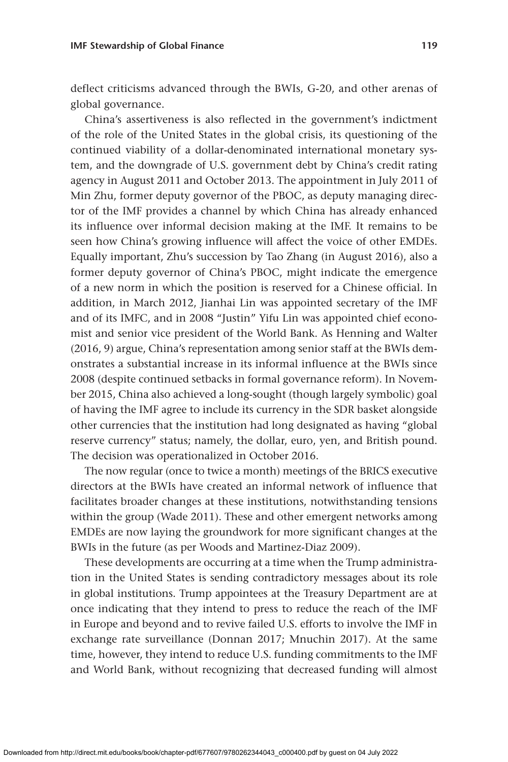deflect criticisms advanced through the BWIs, G-20, and other arenas of global governance.

China's assertiveness is also reflected in the government's indictment of the role of the United States in the global crisis, its questioning of the continued viability of a dollar-denominated international monetary system, and the downgrade of U.S. government debt by China's credit rating agency in August 2011 and October 2013. The appointment in July 2011 of Min Zhu, former deputy governor of the PBOC, as deputy managing director of the IMF provides a channel by which China has already enhanced its influence over informal decision making at the IMF. It remains to be seen how China's growing influence will affect the voice of other EMDEs. Equally important, Zhu's succession by Tao Zhang (in August 2016), also a former deputy governor of China's PBOC, might indicate the emergence of a new norm in which the position is reserved for a Chinese official. In addition, in March 2012, Jianhai Lin was appointed secretary of the IMF and of its IMFC, and in 2008 "Justin" Yifu Lin was appointed chief economist and senior vice president of the World Bank. As Henning and Walter (2016, 9) argue, China's representation among senior staff at the BWIs demonstrates a substantial increase in its informal influence at the BWIs since 2008 (despite continued setbacks in formal governance reform). In November 2015, China also achieved a long-sought (though largely symbolic) goal of having the IMF agree to include its currency in the SDR basket alongside other currencies that the institution had long designated as having "global reserve currency" status; namely, the dollar, euro, yen, and British pound. The decision was operationalized in October 2016.

The now regular (once to twice a month) meetings of the BRICS executive directors at the BWIs have created an informal network of influence that facilitates broader changes at these institutions, notwithstanding tensions within the group (Wade 2011). These and other emergent networks among EMDEs are now laying the groundwork for more significant changes at the BWIs in the future (as per Woods and Martinez-Diaz 2009).

These developments are occurring at a time when the Trump administration in the United States is sending contradictory messages about its role in global institutions. Trump appointees at the Treasury Department are at once indicating that they intend to press to reduce the reach of the IMF in Europe and beyond and to revive failed U.S. efforts to involve the IMF in exchange rate surveillance (Donnan 2017; Mnuchin 2017). At the same time, however, they intend to reduce U.S. funding commitments to the IMF and World Bank, without recognizing that decreased funding will almost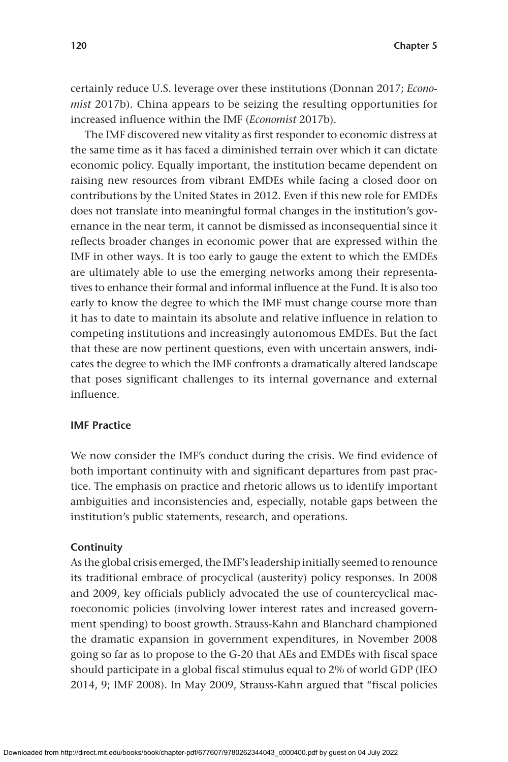certainly reduce U.S. leverage over these institutions (Donnan 2017; *Economist* 2017b). China appears to be seizing the resulting opportunities for increased influence within the IMF (*Economist* 2017b).

The IMF discovered new vitality as first responder to economic distress at the same time as it has faced a diminished terrain over which it can dictate economic policy. Equally important, the institution became dependent on raising new resources from vibrant EMDEs while facing a closed door on contributions by the United States in 2012. Even if this new role for EMDEs does not translate into meaningful formal changes in the institution's governance in the near term, it cannot be dismissed as inconsequential since it reflects broader changes in economic power that are expressed within the IMF in other ways. It is too early to gauge the extent to which the EMDEs are ultimately able to use the emerging networks among their representatives to enhance their formal and informal influence at the Fund. It is also too early to know the degree to which the IMF must change course more than it has to date to maintain its absolute and relative influence in relation to competing institutions and increasingly autonomous EMDEs. But the fact that these are now pertinent questions, even with uncertain answers, indicates the degree to which the IMF confronts a dramatically altered landscape that poses significant challenges to its internal governance and external influence.

#### **IMF Practice**

We now consider the IMF's conduct during the crisis. We find evidence of both important continuity with and significant departures from past practice. The emphasis on practice and rhetoric allows us to identify important ambiguities and inconsistencies and, especially, notable gaps between the institution's public statements, research, and operations.

#### **Continuity**

As the global crisis emerged, the IMF's leadership initially seemed to renounce its traditional embrace of procyclical (austerity) policy responses. In 2008 and 2009, key officials publicly advocated the use of countercyclical macroeconomic policies (involving lower interest rates and increased government spending) to boost growth. Strauss-Kahn and Blanchard championed the dramatic expansion in government expenditures, in November 2008 going so far as to propose to the G-20 that AEs and EMDEs with fiscal space should participate in a global fiscal stimulus equal to 2% of world GDP (IEO 2014, 9; IMF 2008). In May 2009, Strauss-Kahn argued that "fiscal policies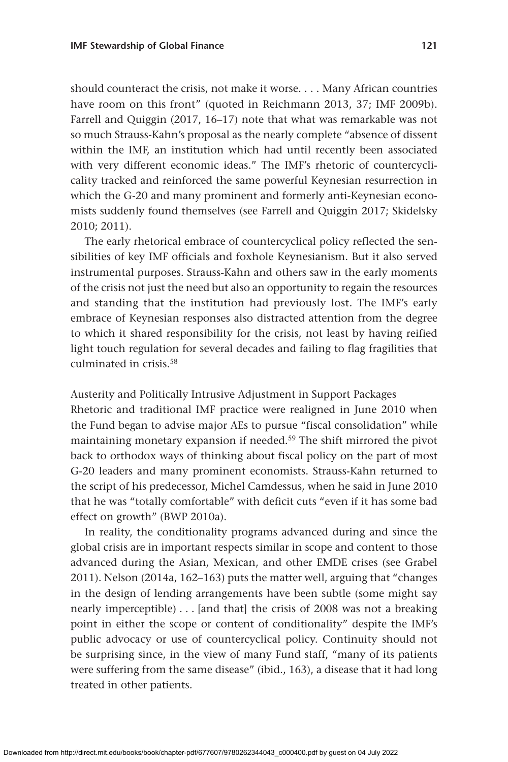should counteract the crisis, not make it worse. . . . Many African countries have room on this front" (quoted in Reichmann 2013, 37; IMF 2009b). Farrell and Quiggin (2017, 16–17) note that what was remarkable was not so much Strauss-Kahn's proposal as the nearly complete "absence of dissent within the IMF, an institution which had until recently been associated with very different economic ideas." The IMF's rhetoric of countercyclicality tracked and reinforced the same powerful Keynesian resurrection in which the G-20 and many prominent and formerly anti-Keynesian economists suddenly found themselves (see Farrell and Quiggin 2017; Skidelsky 2010; 2011).

The early rhetorical embrace of countercyclical policy reflected the sensibilities of key IMF officials and foxhole Keynesianism. But it also served instrumental purposes. Strauss-Kahn and others saw in the early moments of the crisis not just the need but also an opportunity to regain the resources and standing that the institution had previously lost. The IMF's early embrace of Keynesian responses also distracted attention from the degree to which it shared responsibility for the crisis, not least by having reified light touch regulation for several decades and failing to flag fragilities that culminated in crisis.58

Austerity and Politically Intrusive Adjustment in Support Packages Rhetoric and traditional IMF practice were realigned in June 2010 when the Fund began to advise major AEs to pursue "fiscal consolidation" while maintaining monetary expansion if needed.<sup>59</sup> The shift mirrored the pivot back to orthodox ways of thinking about fiscal policy on the part of most G-20 leaders and many prominent economists. Strauss-Kahn returned to the script of his predecessor, Michel Camdessus, when he said in June 2010 that he was "totally comfortable" with deficit cuts "even if it has some bad effect on growth" (BWP 2010a).

In reality, the conditionality programs advanced during and since the global crisis are in important respects similar in scope and content to those advanced during the Asian, Mexican, and other EMDE crises (see Grabel 2011). Nelson (2014a, 162–163) puts the matter well, arguing that "changes in the design of lending arrangements have been subtle (some might say nearly imperceptible) . . . [and that] the crisis of 2008 was not a breaking point in either the scope or content of conditionality" despite the IMF's public advocacy or use of countercyclical policy. Continuity should not be surprising since, in the view of many Fund staff, "many of its patients were suffering from the same disease" (ibid., 163), a disease that it had long treated in other patients.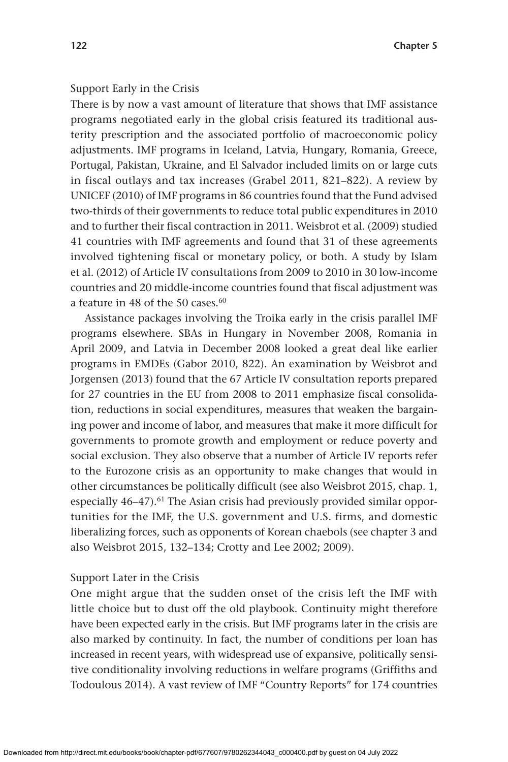#### Support Early in the Crisis

There is by now a vast amount of literature that shows that IMF assistance programs negotiated early in the global crisis featured its traditional austerity prescription and the associated portfolio of macroeconomic policy adjustments. IMF programs in Iceland, Latvia, Hungary, Romania, Greece, Portugal, Pakistan, Ukraine, and El Salvador included limits on or large cuts in fiscal outlays and tax increases (Grabel 2011, 821–822). A review by UNICEF (2010) of IMF programs in 86 countries found that the Fund advised two-thirds of their governments to reduce total public expenditures in 2010 and to further their fiscal contraction in 2011. Weisbrot et al. (2009) studied 41 countries with IMF agreements and found that 31 of these agreements involved tightening fiscal or monetary policy, or both. A study by Islam et al. (2012) of Article IV consultations from 2009 to 2010 in 30 low-income countries and 20 middle-income countries found that fiscal adjustment was a feature in 48 of the 50 cases.<sup>60</sup>

Assistance packages involving the Troika early in the crisis parallel IMF programs elsewhere. SBAs in Hungary in November 2008, Romania in April 2009, and Latvia in December 2008 looked a great deal like earlier programs in EMDEs (Gabor 2010, 822). An examination by Weisbrot and Jorgensen (2013) found that the 67 Article IV consultation reports prepared for 27 countries in the EU from 2008 to 2011 emphasize fiscal consolidation, reductions in social expenditures, measures that weaken the bargaining power and income of labor, and measures that make it more difficult for governments to promote growth and employment or reduce poverty and social exclusion. They also observe that a number of Article IV reports refer to the Eurozone crisis as an opportunity to make changes that would in other circumstances be politically difficult (see also Weisbrot 2015, chap. 1, especially 46–47).<sup>61</sup> The Asian crisis had previously provided similar opportunities for the IMF, the U.S. government and U.S. firms, and domestic liberalizing forces, such as opponents of Korean chaebols (see chapter 3 and also Weisbrot 2015, 132–134; Crotty and Lee 2002; 2009).

#### Support Later in the Crisis

One might argue that the sudden onset of the crisis left the IMF with little choice but to dust off the old playbook. Continuity might therefore have been expected early in the crisis. But IMF programs later in the crisis are also marked by continuity. In fact, the number of conditions per loan has increased in recent years, with widespread use of expansive, politically sensitive conditionality involving reductions in welfare programs (Griffiths and Todoulous 2014). A vast review of IMF "Country Reports" for 174 countries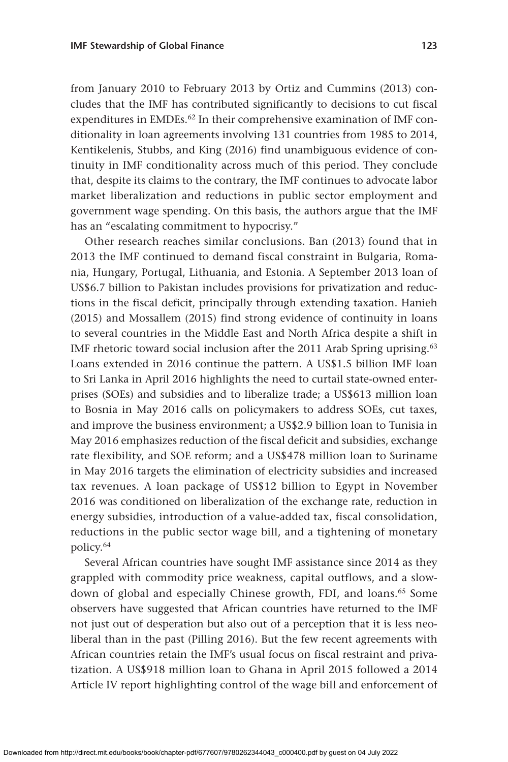from January 2010 to February 2013 by Ortiz and Cummins (2013) concludes that the IMF has contributed significantly to decisions to cut fiscal expenditures in EMDEs.<sup>62</sup> In their comprehensive examination of IMF conditionality in loan agreements involving 131 countries from 1985 to 2014, Kentikelenis, Stubbs, and King (2016) find unambiguous evidence of continuity in IMF conditionality across much of this period. They conclude that, despite its claims to the contrary, the IMF continues to advocate labor market liberalization and reductions in public sector employment and government wage spending. On this basis, the authors argue that the IMF has an "escalating commitment to hypocrisy."

Other research reaches similar conclusions. Ban (2013) found that in 2013 the IMF continued to demand fiscal constraint in Bulgaria, Romania, Hungary, Portugal, Lithuania, and Estonia. A September 2013 loan of US\$6.7 billion to Pakistan includes provisions for privatization and reductions in the fiscal deficit, principally through extending taxation. Hanieh (2015) and Mossallem (2015) find strong evidence of continuity in loans to several countries in the Middle East and North Africa despite a shift in IMF rhetoric toward social inclusion after the 2011 Arab Spring uprising.<sup>63</sup> Loans extended in 2016 continue the pattern. A US\$1.5 billion IMF loan to Sri Lanka in April 2016 highlights the need to curtail state-owned enterprises (SOEs) and subsidies and to liberalize trade; a US\$613 million loan to Bosnia in May 2016 calls on policymakers to address SOEs, cut taxes, and improve the business environment; a US\$2.9 billion loan to Tunisia in May 2016 emphasizes reduction of the fiscal deficit and subsidies, exchange rate flexibility, and SOE reform; and a US\$478 million loan to Suriname in May 2016 targets the elimination of electricity subsidies and increased tax revenues. A loan package of US\$12 billion to Egypt in November 2016 was conditioned on liberalization of the exchange rate, reduction in energy subsidies, introduction of a value-added tax, fiscal consolidation, reductions in the public sector wage bill, and a tightening of monetary policy.64

Several African countries have sought IMF assistance since 2014 as they grappled with commodity price weakness, capital outflows, and a slowdown of global and especially Chinese growth, FDI, and loans.<sup>65</sup> Some observers have suggested that African countries have returned to the IMF not just out of desperation but also out of a perception that it is less neoliberal than in the past (Pilling 2016). But the few recent agreements with African countries retain the IMF's usual focus on fiscal restraint and privatization. A US\$918 million loan to Ghana in April 2015 followed a 2014 Article IV report highlighting control of the wage bill and enforcement of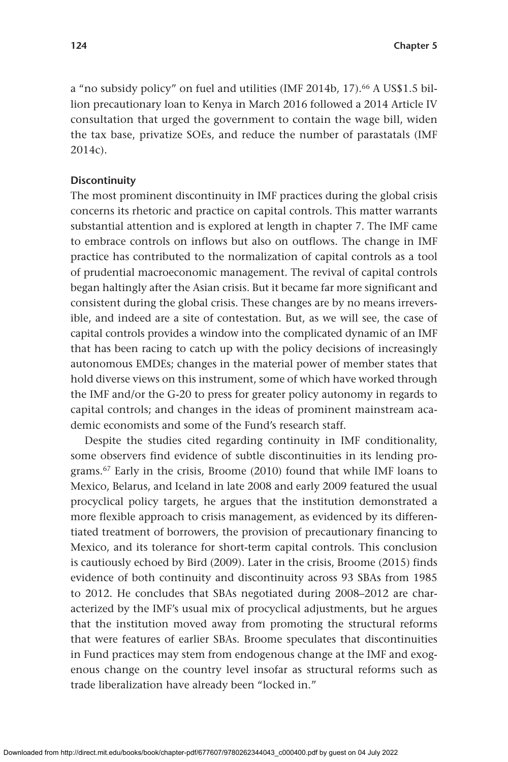a "no subsidy policy" on fuel and utilities (IMF 2014b, 17).<sup>66</sup> A US\$1.5 billion precautionary loan to Kenya in March 2016 followed a 2014 Article IV consultation that urged the government to contain the wage bill, widen the tax base, privatize SOEs, and reduce the number of parastatals (IMF 2014c).

#### **Discontinuity**

The most prominent discontinuity in IMF practices during the global crisis concerns its rhetoric and practice on capital controls. This matter warrants substantial attention and is explored at length in chapter 7. The IMF came to embrace controls on inflows but also on outflows. The change in IMF practice has contributed to the normalization of capital controls as a tool of prudential macroeconomic management. The revival of capital controls began haltingly after the Asian crisis. But it became far more significant and consistent during the global crisis. These changes are by no means irreversible, and indeed are a site of contestation. But, as we will see, the case of capital controls provides a window into the complicated dynamic of an IMF that has been racing to catch up with the policy decisions of increasingly autonomous EMDEs; changes in the material power of member states that hold diverse views on this instrument, some of which have worked through the IMF and/or the G-20 to press for greater policy autonomy in regards to capital controls; and changes in the ideas of prominent mainstream academic economists and some of the Fund's research staff.

Despite the studies cited regarding continuity in IMF conditionality, some observers find evidence of subtle discontinuities in its lending programs.67 Early in the crisis, Broome (2010) found that while IMF loans to Mexico, Belarus, and Iceland in late 2008 and early 2009 featured the usual procyclical policy targets, he argues that the institution demonstrated a more flexible approach to crisis management, as evidenced by its differentiated treatment of borrowers, the provision of precautionary financing to Mexico, and its tolerance for short-term capital controls. This conclusion is cautiously echoed by Bird (2009). Later in the crisis, Broome (2015) finds evidence of both continuity and discontinuity across 93 SBAs from 1985 to 2012. He concludes that SBAs negotiated during 2008–2012 are characterized by the IMF's usual mix of procyclical adjustments, but he argues that the institution moved away from promoting the structural reforms that were features of earlier SBAs. Broome speculates that discontinuities in Fund practices may stem from endogenous change at the IMF and exogenous change on the country level insofar as structural reforms such as trade liberalization have already been "locked in."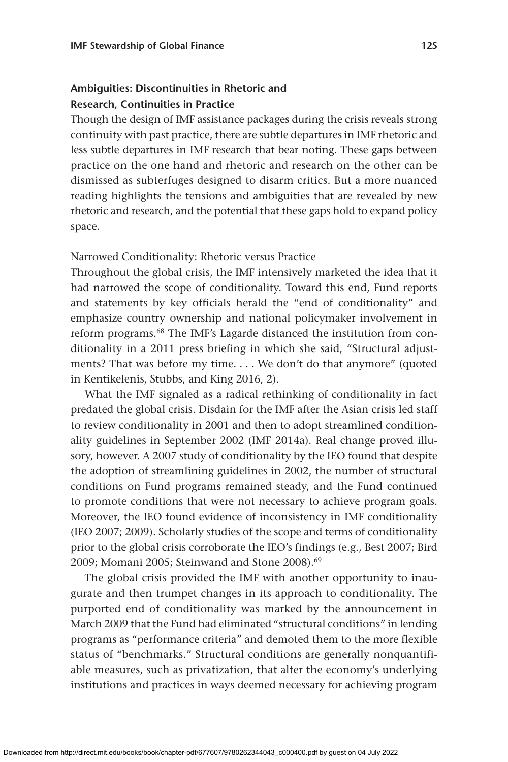### **Ambiguities: Discontinuities in Rhetoric and Research, Continuities in Practice**

Though the design of IMF assistance packages during the crisis reveals strong continuity with past practice, there are subtle departures in IMF rhetoric and less subtle departures in IMF research that bear noting. These gaps between practice on the one hand and rhetoric and research on the other can be dismissed as subterfuges designed to disarm critics. But a more nuanced reading highlights the tensions and ambiguities that are revealed by new rhetoric and research, and the potential that these gaps hold to expand policy space.

#### Narrowed Conditionality: Rhetoric versus Practice

Throughout the global crisis, the IMF intensively marketed the idea that it had narrowed the scope of conditionality. Toward this end, Fund reports and statements by key officials herald the "end of conditionality" and emphasize country ownership and national policymaker involvement in reform programs.68 The IMF's Lagarde distanced the institution from conditionality in a 2011 press briefing in which she said, "Structural adjustments? That was before my time. . . . We don't do that anymore" (quoted in Kentikelenis, Stubbs, and King 2016, 2).

What the IMF signaled as a radical rethinking of conditionality in fact predated the global crisis. Disdain for the IMF after the Asian crisis led staff to review conditionality in 2001 and then to adopt streamlined conditionality guidelines in September 2002 (IMF 2014a). Real change proved illusory, however. A 2007 study of conditionality by the IEO found that despite the adoption of streamlining guidelines in 2002, the number of structural conditions on Fund programs remained steady, and the Fund continued to promote conditions that were not necessary to achieve program goals. Moreover, the IEO found evidence of inconsistency in IMF conditionality (IEO 2007; 2009). Scholarly studies of the scope and terms of conditionality prior to the global crisis corroborate the IEO's findings (e.g., Best 2007; Bird 2009; Momani 2005; Steinwand and Stone 2008).69

The global crisis provided the IMF with another opportunity to inaugurate and then trumpet changes in its approach to conditionality. The purported end of conditionality was marked by the announcement in March 2009 that the Fund had eliminated "structural conditions" in lending programs as "performance criteria" and demoted them to the more flexible status of "benchmarks." Structural conditions are generally nonquantifiable measures, such as privatization, that alter the economy's underlying institutions and practices in ways deemed necessary for achieving program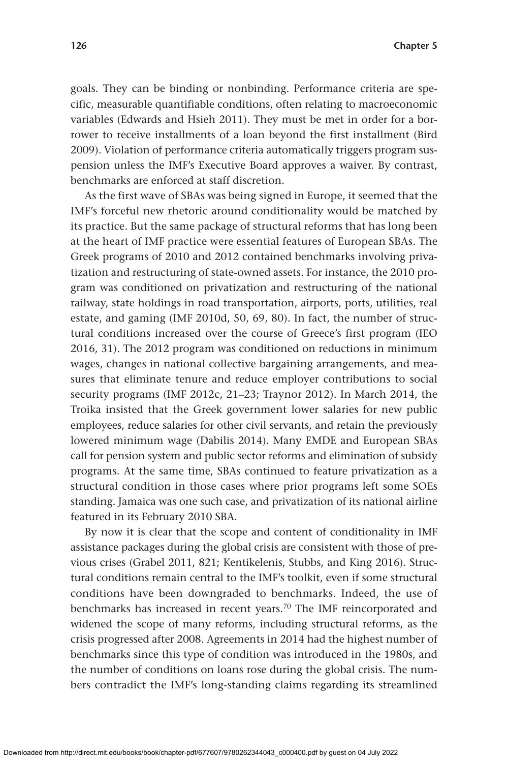goals. They can be binding or nonbinding. Performance criteria are specific, measurable quantifiable conditions, often relating to macroeconomic variables (Edwards and Hsieh 2011). They must be met in order for a borrower to receive installments of a loan beyond the first installment (Bird 2009). Violation of performance criteria automatically triggers program suspension unless the IMF's Executive Board approves a waiver. By contrast, benchmarks are enforced at staff discretion.

As the first wave of SBAs was being signed in Europe, it seemed that the IMF's forceful new rhetoric around conditionality would be matched by its practice. But the same package of structural reforms that has long been at the heart of IMF practice were essential features of European SBAs. The Greek programs of 2010 and 2012 contained benchmarks involving privatization and restructuring of state-owned assets. For instance, the 2010 program was conditioned on privatization and restructuring of the national railway, state holdings in road transportation, airports, ports, utilities, real estate, and gaming (IMF 2010d, 50, 69, 80). In fact, the number of structural conditions increased over the course of Greece's first program (IEO 2016, 31). The 2012 program was conditioned on reductions in minimum wages, changes in national collective bargaining arrangements, and measures that eliminate tenure and reduce employer contributions to social security programs (IMF 2012c, 21–23; Traynor 2012). In March 2014, the Troika insisted that the Greek government lower salaries for new public employees, reduce salaries for other civil servants, and retain the previously lowered minimum wage (Dabilis 2014). Many EMDE and European SBAs call for pension system and public sector reforms and elimination of subsidy programs. At the same time, SBAs continued to feature privatization as a structural condition in those cases where prior programs left some SOEs standing. Jamaica was one such case, and privatization of its national airline featured in its February 2010 SBA.

By now it is clear that the scope and content of conditionality in IMF assistance packages during the global crisis are consistent with those of previous crises (Grabel 2011, 821; Kentikelenis, Stubbs, and King 2016). Structural conditions remain central to the IMF's toolkit, even if some structural conditions have been downgraded to benchmarks. Indeed, the use of benchmarks has increased in recent years.70 The IMF reincorporated and widened the scope of many reforms, including structural reforms, as the crisis progressed after 2008. Agreements in 2014 had the highest number of benchmarks since this type of condition was introduced in the 1980s, and the number of conditions on loans rose during the global crisis. The numbers contradict the IMF's long-standing claims regarding its streamlined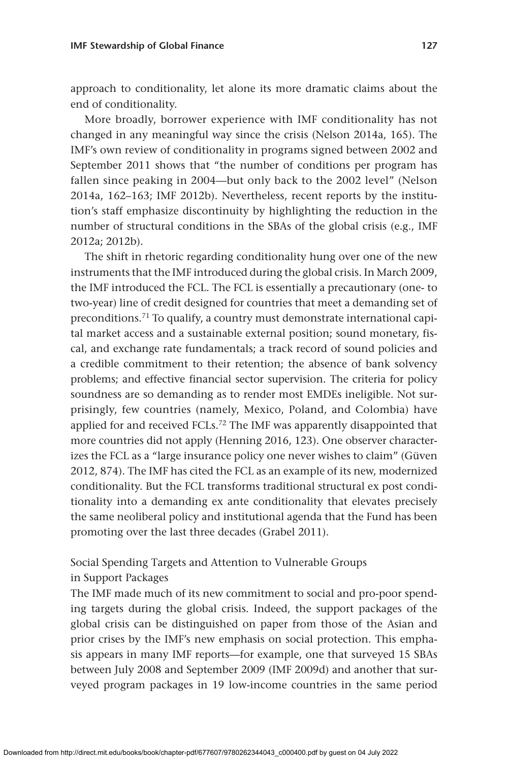approach to conditionality, let alone its more dramatic claims about the end of conditionality.

More broadly, borrower experience with IMF conditionality has not changed in any meaningful way since the crisis (Nelson 2014a, 165). The IMF's own review of conditionality in programs signed between 2002 and September 2011 shows that "the number of conditions per program has fallen since peaking in 2004—but only back to the 2002 level" (Nelson 2014a, 162–163; IMF 2012b). Nevertheless, recent reports by the institution's staff emphasize discontinuity by highlighting the reduction in the number of structural conditions in the SBAs of the global crisis (e.g., IMF 2012a; 2012b).

The shift in rhetoric regarding conditionality hung over one of the new instruments that the IMF introduced during the global crisis. In March 2009, the IMF introduced the FCL. The FCL is essentially a precautionary (one- to two-year) line of credit designed for countries that meet a demanding set of preconditions.71 To qualify, a country must demonstrate international capital market access and a sustainable external position; sound monetary, fiscal, and exchange rate fundamentals; a track record of sound policies and a credible commitment to their retention; the absence of bank solvency problems; and effective financial sector supervision. The criteria for policy soundness are so demanding as to render most EMDEs ineligible. Not surprisingly, few countries (namely, Mexico, Poland, and Colombia) have applied for and received FCLs.<sup>72</sup> The IMF was apparently disappointed that more countries did not apply (Henning 2016, 123). One observer characterizes the FCL as a "large insurance policy one never wishes to claim" (Güven 2012, 874). The IMF has cited the FCL as an example of its new, modernized conditionality. But the FCL transforms traditional structural ex post conditionality into a demanding ex ante conditionality that elevates precisely the same neoliberal policy and institutional agenda that the Fund has been promoting over the last three decades (Grabel 2011).

## Social Spending Targets and Attention to Vulnerable Groups in Support Packages

The IMF made much of its new commitment to social and pro-poor spending targets during the global crisis. Indeed, the support packages of the global crisis can be distinguished on paper from those of the Asian and prior crises by the IMF's new emphasis on social protection. This emphasis appears in many IMF reports—for example, one that surveyed 15 SBAs between July 2008 and September 2009 (IMF 2009d) and another that surveyed program packages in 19 low-income countries in the same period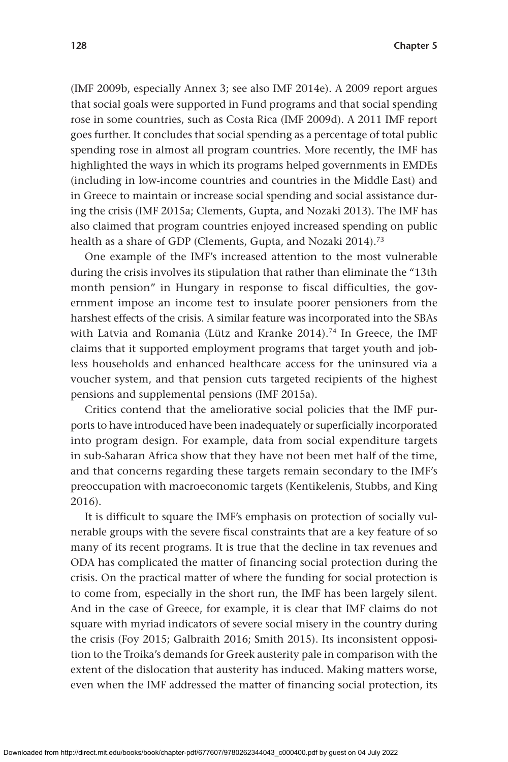(IMF 2009b, especially Annex 3; see also IMF 2014e). A 2009 report argues that social goals were supported in Fund programs and that social spending rose in some countries, such as Costa Rica (IMF 2009d). A 2011 IMF report goes further. It concludes that social spending as a percentage of total public spending rose in almost all program countries. More recently, the IMF has highlighted the ways in which its programs helped governments in EMDEs (including in low-income countries and countries in the Middle East) and in Greece to maintain or increase social spending and social assistance during the crisis (IMF 2015a; Clements, Gupta, and Nozaki 2013). The IMF has also claimed that program countries enjoyed increased spending on public health as a share of GDP (Clements, Gupta, and Nozaki 2014).<sup>73</sup>

One example of the IMF's increased attention to the most vulnerable during the crisis involves its stipulation that rather than eliminate the "13th month pension" in Hungary in response to fiscal difficulties, the government impose an income test to insulate poorer pensioners from the harshest effects of the crisis. A similar feature was incorporated into the SBAs with Latvia and Romania (Lütz and Kranke 2014).<sup>74</sup> In Greece, the IMF claims that it supported employment programs that target youth and jobless households and enhanced healthcare access for the uninsured via a voucher system, and that pension cuts targeted recipients of the highest pensions and supplemental pensions (IMF 2015a).

Critics contend that the ameliorative social policies that the IMF purports to have introduced have been inadequately or superficially incorporated into program design. For example, data from social expenditure targets in sub-Saharan Africa show that they have not been met half of the time, and that concerns regarding these targets remain secondary to the IMF's preoccupation with macroeconomic targets (Kentikelenis, Stubbs, and King 2016).

It is difficult to square the IMF's emphasis on protection of socially vulnerable groups with the severe fiscal constraints that are a key feature of so many of its recent programs. It is true that the decline in tax revenues and ODA has complicated the matter of financing social protection during the crisis. On the practical matter of where the funding for social protection is to come from, especially in the short run, the IMF has been largely silent. And in the case of Greece, for example, it is clear that IMF claims do not square with myriad indicators of severe social misery in the country during the crisis (Foy 2015; Galbraith 2016; Smith 2015). Its inconsistent opposition to the Troika's demands for Greek austerity pale in comparison with the extent of the dislocation that austerity has induced. Making matters worse, even when the IMF addressed the matter of financing social protection, its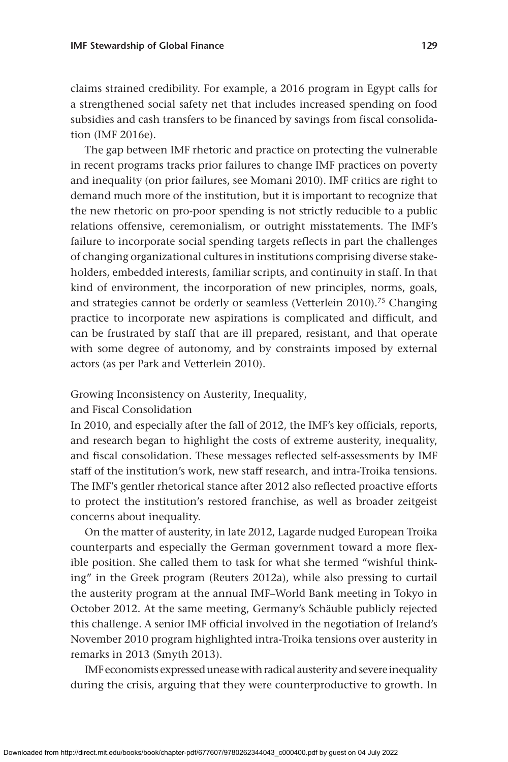claims strained credibility. For example, a 2016 program in Egypt calls for a strengthened social safety net that includes increased spending on food subsidies and cash transfers to be financed by savings from fiscal consolidation (IMF 2016e).

The gap between IMF rhetoric and practice on protecting the vulnerable in recent programs tracks prior failures to change IMF practices on poverty and inequality (on prior failures, see Momani 2010). IMF critics are right to demand much more of the institution, but it is important to recognize that the new rhetoric on pro-poor spending is not strictly reducible to a public relations offensive, ceremonialism, or outright misstatements. The IMF's failure to incorporate social spending targets reflects in part the challenges of changing organizational cultures in institutions comprising diverse stakeholders, embedded interests, familiar scripts, and continuity in staff. In that kind of environment, the incorporation of new principles, norms, goals, and strategies cannot be orderly or seamless (Vetterlein 2010).<sup>75</sup> Changing practice to incorporate new aspirations is complicated and difficult, and can be frustrated by staff that are ill prepared, resistant, and that operate with some degree of autonomy, and by constraints imposed by external actors (as per Park and Vetterlein 2010).

Growing Inconsistency on Austerity, Inequality,

and Fiscal Consolidation

In 2010, and especially after the fall of 2012, the IMF's key officials, reports, and research began to highlight the costs of extreme austerity, inequality, and fiscal consolidation. These messages reflected self-assessments by IMF staff of the institution's work, new staff research, and intra-Troika tensions. The IMF's gentler rhetorical stance after 2012 also reflected proactive efforts to protect the institution's restored franchise, as well as broader zeitgeist concerns about inequality.

On the matter of austerity, in late 2012, Lagarde nudged European Troika counterparts and especially the German government toward a more flexible position. She called them to task for what she termed "wishful thinking" in the Greek program (Reuters 2012a), while also pressing to curtail the austerity program at the annual IMF–World Bank meeting in Tokyo in October 2012. At the same meeting, Germany's Schäuble publicly rejected this challenge. A senior IMF official involved in the negotiation of Ireland's November 2010 program highlighted intra-Troika tensions over austerity in remarks in 2013 (Smyth 2013).

IMF economists expressed unease with radical austerity and severe inequality during the crisis, arguing that they were counterproductive to growth. In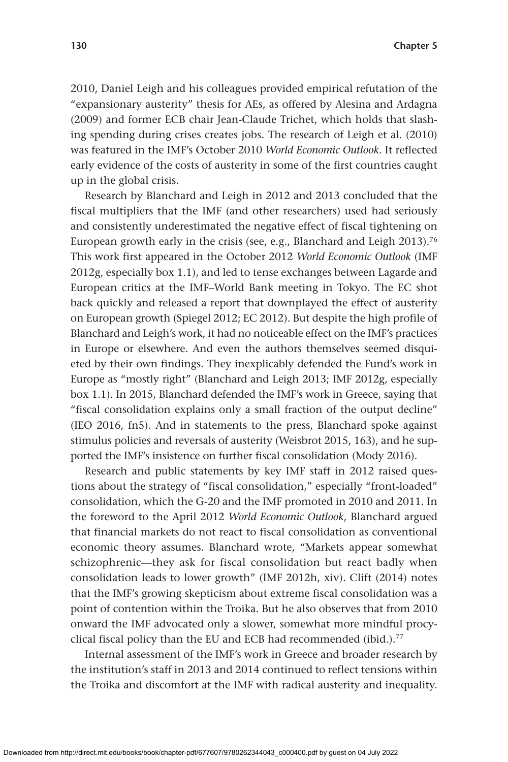2010, Daniel Leigh and his colleagues provided empirical refutation of the "expansionary austerity" thesis for AEs, as offered by Alesina and Ardagna (2009) and former ECB chair Jean-Claude Trichet, which holds that slashing spending during crises creates jobs. The research of Leigh et al. (2010) was featured in the IMF's October 2010 *World Economic Outlook*. It reflected early evidence of the costs of austerity in some of the first countries caught up in the global crisis.

Research by Blanchard and Leigh in 2012 and 2013 concluded that the fiscal multipliers that the IMF (and other researchers) used had seriously and consistently underestimated the negative effect of fiscal tightening on European growth early in the crisis (see, e.g., Blanchard and Leigh 2013).<sup>76</sup> This work first appeared in the October 2012 *World Economic Outlook* (IMF 2012g, especially box 1.1), and led to tense exchanges between Lagarde and European critics at the IMF–World Bank meeting in Tokyo. The EC shot back quickly and released a report that downplayed the effect of austerity on European growth (Spiegel 2012; EC 2012). But despite the high profile of Blanchard and Leigh's work, it had no noticeable effect on the IMF's practices in Europe or elsewhere. And even the authors themselves seemed disquieted by their own findings. They inexplicably defended the Fund's work in Europe as "mostly right" (Blanchard and Leigh 2013; IMF 2012g, especially box 1.1). In 2015, Blanchard defended the IMF's work in Greece, saying that "fiscal consolidation explains only a small fraction of the output decline" (IEO 2016, fn5). And in statements to the press, Blanchard spoke against stimulus policies and reversals of austerity (Weisbrot 2015, 163), and he supported the IMF's insistence on further fiscal consolidation (Mody 2016).

Research and public statements by key IMF staff in 2012 raised questions about the strategy of "fiscal consolidation," especially "front-loaded" consolidation, which the G-20 and the IMF promoted in 2010 and 2011. In the foreword to the April 2012 *World Economic Outlook*, Blanchard argued that financial markets do not react to fiscal consolidation as conventional economic theory assumes. Blanchard wrote, "Markets appear somewhat schizophrenic—they ask for fiscal consolidation but react badly when consolidation leads to lower growth" (IMF 2012h, xiv). Clift (2014) notes that the IMF's growing skepticism about extreme fiscal consolidation was a point of contention within the Troika. But he also observes that from 2010 onward the IMF advocated only a slower, somewhat more mindful procyclical fiscal policy than the EU and ECB had recommended (ibid.).<sup>77</sup>

Internal assessment of the IMF's work in Greece and broader research by the institution's staff in 2013 and 2014 continued to reflect tensions within the Troika and discomfort at the IMF with radical austerity and inequality.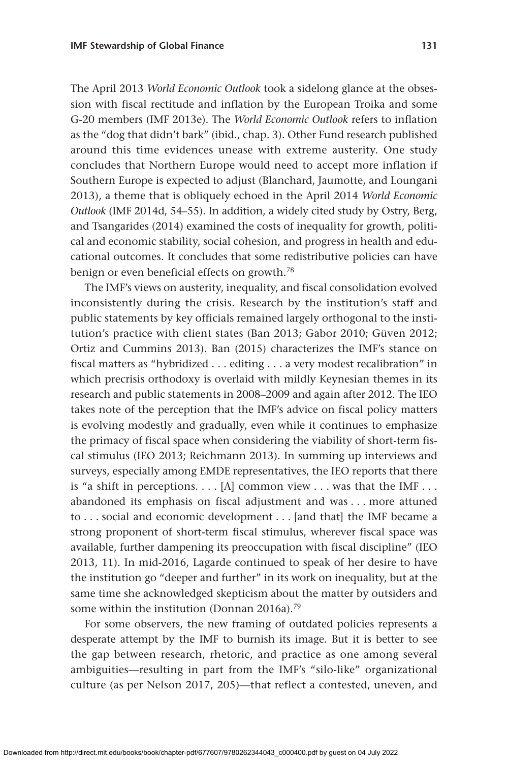The April 2013 *World Economic Outlook* took a sidelong glance at the obsession with fiscal rectitude and inflation by the European Troika and some G-20 members (IMF 2013e). The *World Economic Outlook* refers to inflation as the "dog that didn't bark" (ibid., chap. 3). Other Fund research published around this time evidences unease with extreme austerity. One study concludes that Northern Europe would need to accept more inflation if Southern Europe is expected to adjust (Blanchard, Jaumotte, and Loungani 2013), a theme that is obliquely echoed in the April 2014 *World Economic Outlook* (IMF 2014d, 54–55). In addition, a widely cited study by Ostry, Berg, and Tsangarides (2014) examined the costs of inequality for growth, political and economic stability, social cohesion, and progress in health and educational outcomes. It concludes that some redistributive policies can have benign or even beneficial effects on growth.78

The IMF's views on austerity, inequality, and fiscal consolidation evolved inconsistently during the crisis. Research by the institution's staff and public statements by key officials remained largely orthogonal to the institution's practice with client states (Ban 2013; Gabor 2010; Güven 2012; Ortiz and Cummins 2013). Ban (2015) characterizes the IMF's stance on fiscal matters as "hybridized . . . editing . . . a very modest recalibration" in which precrisis orthodoxy is overlaid with mildly Keynesian themes in its research and public statements in 2008–2009 and again after 2012. The IEO takes note of the perception that the IMF's advice on fiscal policy matters is evolving modestly and gradually, even while it continues to emphasize the primacy of fiscal space when considering the viability of short-term fiscal stimulus (IEO 2013; Reichmann 2013). In summing up interviews and surveys, especially among EMDE representatives, the IEO reports that there is "a shift in perceptions.  $\dots$  [A] common view  $\dots$  was that the IMF  $\dots$ abandoned its emphasis on fiscal adjustment and was . . . more attuned to . . . social and economic development . . . [and that] the IMF became a strong proponent of short-term fiscal stimulus, wherever fiscal space was available, further dampening its preoccupation with fiscal discipline" (IEO 2013, 11). In mid-2016, Lagarde continued to speak of her desire to have the institution go "deeper and further" in its work on inequality, but at the same time she acknowledged skepticism about the matter by outsiders and some within the institution (Donnan 2016a).<sup>79</sup>

For some observers, the new framing of outdated policies represents a desperate attempt by the IMF to burnish its image. But it is better to see the gap between research, rhetoric, and practice as one among several ambiguities—resulting in part from the IMF's "silo-like" organizational culture (as per Nelson 2017, 205)—that reflect a contested, uneven, and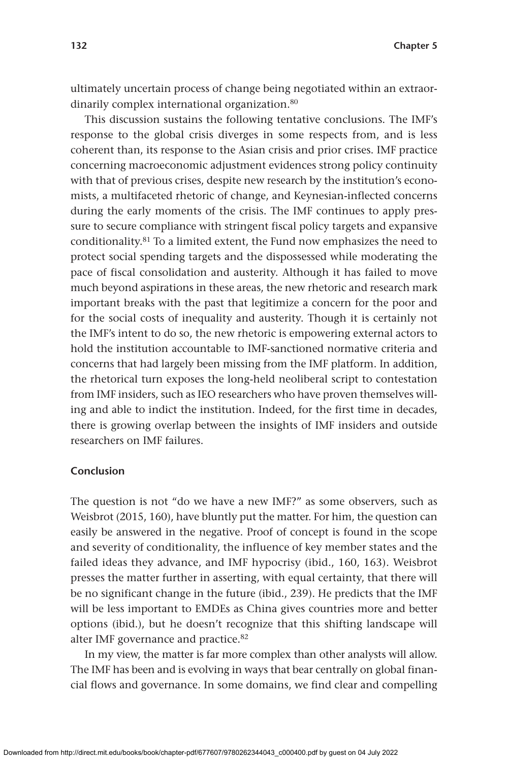ultimately uncertain process of change being negotiated within an extraordinarily complex international organization.<sup>80</sup>

This discussion sustains the following tentative conclusions. The IMF's response to the global crisis diverges in some respects from, and is less coherent than, its response to the Asian crisis and prior crises. IMF practice concerning macroeconomic adjustment evidences strong policy continuity with that of previous crises, despite new research by the institution's economists, a multifaceted rhetoric of change, and Keynesian-inflected concerns during the early moments of the crisis. The IMF continues to apply pressure to secure compliance with stringent fiscal policy targets and expansive conditionality.81 To a limited extent, the Fund now emphasizes the need to protect social spending targets and the dispossessed while moderating the pace of fiscal consolidation and austerity. Although it has failed to move much beyond aspirations in these areas, the new rhetoric and research mark important breaks with the past that legitimize a concern for the poor and for the social costs of inequality and austerity. Though it is certainly not the IMF's intent to do so, the new rhetoric is empowering external actors to hold the institution accountable to IMF-sanctioned normative criteria and concerns that had largely been missing from the IMF platform. In addition, the rhetorical turn exposes the long-held neoliberal script to contestation from IMF insiders, such as IEO researchers who have proven themselves willing and able to indict the institution. Indeed, for the first time in decades, there is growing overlap between the insights of IMF insiders and outside researchers on IMF failures.

#### **Conclusion**

The question is not "do we have a new IMF?" as some observers, such as Weisbrot (2015, 160), have bluntly put the matter. For him, the question can easily be answered in the negative. Proof of concept is found in the scope and severity of conditionality, the influence of key member states and the failed ideas they advance, and IMF hypocrisy (ibid., 160, 163). Weisbrot presses the matter further in asserting, with equal certainty, that there will be no significant change in the future (ibid., 239). He predicts that the IMF will be less important to EMDEs as China gives countries more and better options (ibid.), but he doesn't recognize that this shifting landscape will alter IMF governance and practice.82

In my view, the matter is far more complex than other analysts will allow. The IMF has been and is evolving in ways that bear centrally on global financial flows and governance. In some domains, we find clear and compelling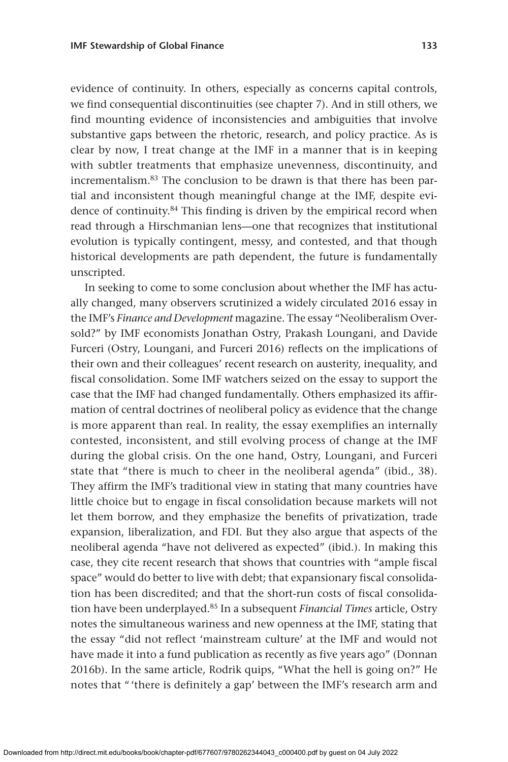evidence of continuity. In others, especially as concerns capital controls, we find consequential discontinuities (see chapter 7). And in still others, we find mounting evidence of inconsistencies and ambiguities that involve substantive gaps between the rhetoric, research, and policy practice. As is clear by now, I treat change at the IMF in a manner that is in keeping with subtler treatments that emphasize unevenness, discontinuity, and incrementalism.83 The conclusion to be drawn is that there has been partial and inconsistent though meaningful change at the IMF, despite evidence of continuity.84 This finding is driven by the empirical record when read through a Hirschmanian lens—one that recognizes that institutional evolution is typically contingent, messy, and contested, and that though historical developments are path dependent, the future is fundamentally unscripted.

In seeking to come to some conclusion about whether the IMF has actually changed, many observers scrutinized a widely circulated 2016 essay in the IMF's *Finance and Development* magazine. The essay "Neoliberalism Oversold?" by IMF economists Jonathan Ostry, Prakash Loungani, and Davide Furceri (Ostry, Loungani, and Furceri 2016) reflects on the implications of their own and their colleagues' recent research on austerity, inequality, and fiscal consolidation. Some IMF watchers seized on the essay to support the case that the IMF had changed fundamentally. Others emphasized its affirmation of central doctrines of neoliberal policy as evidence that the change is more apparent than real. In reality, the essay exemplifies an internally contested, inconsistent, and still evolving process of change at the IMF during the global crisis. On the one hand, Ostry, Loungani, and Furceri state that "there is much to cheer in the neoliberal agenda" (ibid., 38). They affirm the IMF's traditional view in stating that many countries have little choice but to engage in fiscal consolidation because markets will not let them borrow, and they emphasize the benefits of privatization, trade expansion, liberalization, and FDI. But they also argue that aspects of the neoliberal agenda "have not delivered as expected" (ibid.). In making this case, they cite recent research that shows that countries with "ample fiscal space" would do better to live with debt; that expansionary fiscal consolidation has been discredited; and that the short-run costs of fiscal consolidation have been underplayed.85 In a subsequent *Financial Times* article, Ostry notes the simultaneous wariness and new openness at the IMF, stating that the essay "did not reflect 'mainstream culture' at the IMF and would not have made it into a fund publication as recently as five years ago" (Donnan 2016b). In the same article, Rodrik quips, "What the hell is going on?" He notes that " 'there is definitely a gap' between the IMF's research arm and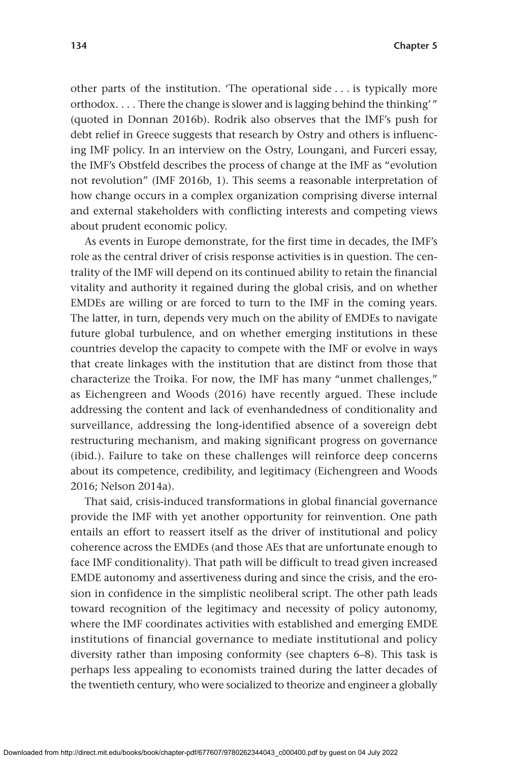other parts of the institution. 'The operational side . . . is typically more orthodox. . . . There the change is slower and is lagging behind the thinking'" (quoted in Donnan 2016b). Rodrik also observes that the IMF's push for debt relief in Greece suggests that research by Ostry and others is influencing IMF policy. In an interview on the Ostry, Loungani, and Furceri essay, the IMF's Obstfeld describes the process of change at the IMF as "evolution not revolution" (IMF 2016b, 1). This seems a reasonable interpretation of how change occurs in a complex organization comprising diverse internal and external stakeholders with conflicting interests and competing views about prudent economic policy.

As events in Europe demonstrate, for the first time in decades, the IMF's role as the central driver of crisis response activities is in question. The centrality of the IMF will depend on its continued ability to retain the financial vitality and authority it regained during the global crisis, and on whether EMDEs are willing or are forced to turn to the IMF in the coming years. The latter, in turn, depends very much on the ability of EMDEs to navigate future global turbulence, and on whether emerging institutions in these countries develop the capacity to compete with the IMF or evolve in ways that create linkages with the institution that are distinct from those that characterize the Troika. For now, the IMF has many "unmet challenges," as Eichengreen and Woods (2016) have recently argued. These include addressing the content and lack of evenhandedness of conditionality and surveillance, addressing the long-identified absence of a sovereign debt restructuring mechanism, and making significant progress on governance (ibid.). Failure to take on these challenges will reinforce deep concerns about its competence, credibility, and legitimacy (Eichengreen and Woods 2016; Nelson 2014a).

That said, crisis-induced transformations in global financial governance provide the IMF with yet another opportunity for reinvention. One path entails an effort to reassert itself as the driver of institutional and policy coherence across the EMDEs (and those AEs that are unfortunate enough to face IMF conditionality). That path will be difficult to tread given increased EMDE autonomy and assertiveness during and since the crisis, and the erosion in confidence in the simplistic neoliberal script. The other path leads toward recognition of the legitimacy and necessity of policy autonomy, where the IMF coordinates activities with established and emerging EMDE institutions of financial governance to mediate institutional and policy diversity rather than imposing conformity (see chapters 6–8). This task is perhaps less appealing to economists trained during the latter decades of the twentieth century, who were socialized to theorize and engineer a globally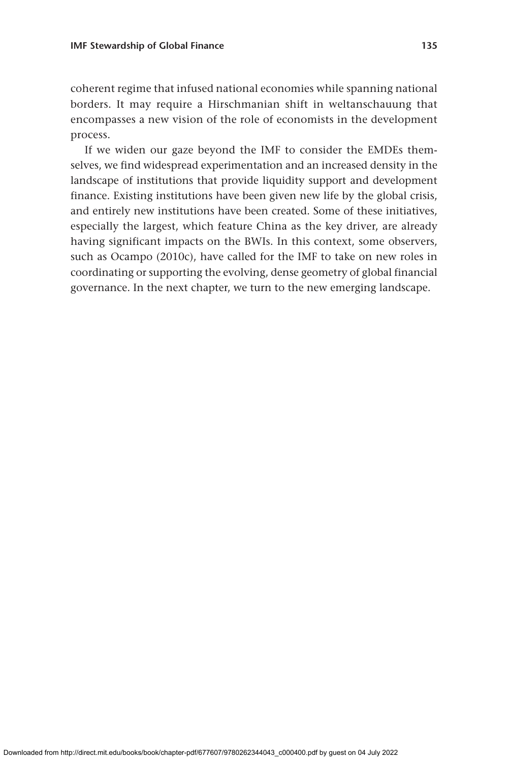coherent regime that infused national economies while spanning national borders. It may require a Hirschmanian shift in weltanschauung that encompasses a new vision of the role of economists in the development process.

If we widen our gaze beyond the IMF to consider the EMDEs themselves, we find widespread experimentation and an increased density in the landscape of institutions that provide liquidity support and development finance. Existing institutions have been given new life by the global crisis, and entirely new institutions have been created. Some of these initiatives, especially the largest, which feature China as the key driver, are already having significant impacts on the BWIs. In this context, some observers, such as Ocampo (2010c), have called for the IMF to take on new roles in coordinating or supporting the evolving, dense geometry of global financial governance. In the next chapter, we turn to the new emerging landscape.